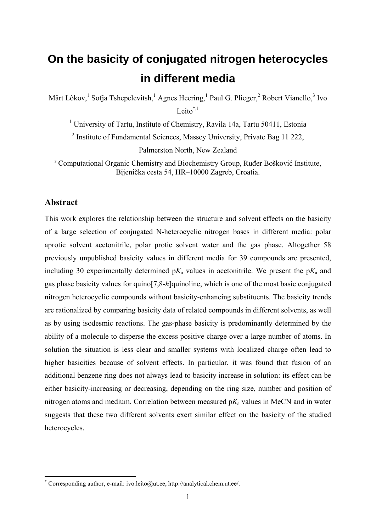# **On the basicity of conjugated nitrogen heterocycles in different media**

Märt Lõkov,<sup>1</sup> Sofja Tshepelevitsh,<sup>1</sup> Agnes Heering,<sup>1</sup> Paul G. Plieger,<sup>2</sup> Robert Vianello,<sup>3</sup> Ivo Leito $*$ ,1

<sup>1</sup> University of Tartu, Institute of Chemistry, Ravila 14a, Tartu 50411, Estonia <sup>2</sup> Institute of Fundamental Sciences, Massey University, Private Bag 11 222, Palmerston North, New Zealand

<sup>3</sup> Computational Organic Chemistry and Biochemistry Group, Ruđer Bošković Institute, Bijenička cesta 54, HR–10000 Zagreb, Croatia.

# **Abstract**

1

This work explores the relationship between the structure and solvent effects on the basicity of a large selection of conjugated N-heterocyclic nitrogen bases in different media: polar aprotic solvent acetonitrile, polar protic solvent water and the gas phase. Altogether 58 previously unpublished basicity values in different media for 39 compounds are presented, including 30 experimentally determined  $pK_a$  values in acetonitrile. We present the  $pK_a$  and gas phase basicity values for quino[7,8-*h*]quinoline, which is one of the most basic conjugated nitrogen heterocyclic compounds without basicity-enhancing substituents. The basicity trends are rationalized by comparing basicity data of related compounds in different solvents, as well as by using isodesmic reactions. The gas-phase basicity is predominantly determined by the ability of a molecule to disperse the excess positive charge over a large number of atoms. In solution the situation is less clear and smaller systems with localized charge often lead to higher basicities because of solvent effects. In particular, it was found that fusion of an additional benzene ring does not always lead to basicity increase in solution: its effect can be either basicity-increasing or decreasing, depending on the ring size, number and position of nitrogen atoms and medium. Correlation between measured p*K*a values in MeCN and in water suggests that these two different solvents exert similar effect on the basicity of the studied heterocycles.

<sup>\*</sup> Corresponding author, e-mail: ivo.leito@ut.ee, http://analytical.chem.ut.ee/.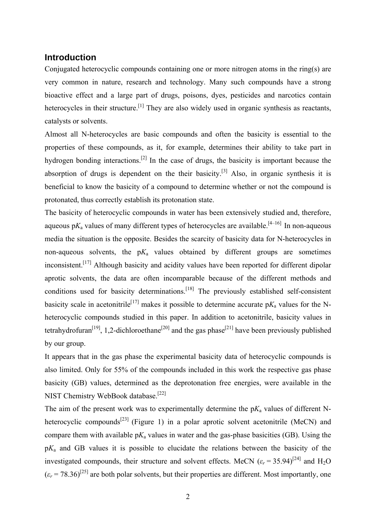# **Introduction**

Conjugated heterocyclic compounds containing one or more nitrogen atoms in the ring(s) are very common in nature, research and technology. Many such compounds have a strong bioactive effect and a large part of drugs, poisons, dyes, pesticides and narcotics contain heterocycles in their structure.<sup>[1]</sup> They are also widely used in organic synthesis as reactants, catalysts or solvents.

Almost all N-heterocycles are basic compounds and often the basicity is essential to the properties of these compounds, as it, for example, determines their ability to take part in hydrogen bonding interactions.<sup>[2]</sup> In the case of drugs, the basicity is important because the absorption of drugs is dependent on the their basicity.<sup>[3]</sup> Also, in organic synthesis it is beneficial to know the basicity of a compound to determine whether or not the compound is protonated, thus correctly establish its protonation state.

The basicity of heterocyclic compounds in water has been extensively studied and, therefore, aqueous  $pK_a$  values of many different types of heterocycles are available.<sup>[4-16]</sup> In non-aqueous media the situation is the opposite. Besides the scarcity of basicity data for N-heterocycles in non-aqueous solvents, the  $pK_a$  values obtained by different groups are sometimes inconsistent.<sup>[17]</sup> Although basicity and acidity values have been reported for different dipolar aprotic solvents, the data are often incomparable because of the different methods and conditions used for basicity determinations.<sup>[18]</sup> The previously established self-consistent basicity scale in acetonitrile<sup>[17]</sup> makes it possible to determine accurate  $pK_a$  values for the Nheterocyclic compounds studied in this paper. In addition to acetonitrile, basicity values in tetrahydrofuran<sup>[19]</sup>, 1,2-dichloroethane<sup>[20]</sup> and the gas phase<sup>[21]</sup> have been previously published by our group.

It appears that in the gas phase the experimental basicity data of heterocyclic compounds is also limited. Only for 55% of the compounds included in this work the respective gas phase basicity (GB) values, determined as the deprotonation free energies, were available in the NIST Chemistry WebBook database.<sup>[22]</sup>

The aim of the present work was to experimentally determine the  $pK_a$  values of different Nheterocyclic compounds<sup>[23]</sup> (Figure 1) in a polar aprotic solvent acetonitrile (MeCN) and compare them with available  $pK_a$  values in water and the gas-phase basicities (GB). Using the p*K*a and GB values it is possible to elucidate the relations between the basicity of the investigated compounds, their structure and solvent effects. MeCN  $(\varepsilon_r = 35.94)^{[24]}$  and H<sub>2</sub>O  $(\varepsilon_r = 78.36)^{[25]}$  are both polar solvents, but their properties are different. Most importantly, one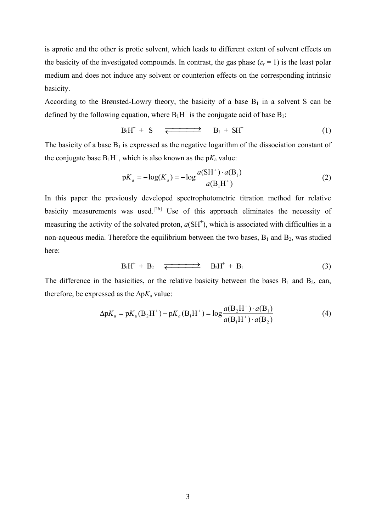is aprotic and the other is protic solvent, which leads to different extent of solvent effects on the basicity of the investigated compounds. In contrast, the gas phase  $(\varepsilon_r = 1)$  is the least polar medium and does not induce any solvent or counterion effects on the corresponding intrinsic basicity.

According to the Brønsted-Lowry theory, the basicity of a base  $B_1$  in a solvent S can be defined by the following equation, where  $B_1H^+$  is the conjugate acid of base  $B_1$ :

$$
B_lH^+ + S \quad \overline{\Longleftarrow} \qquad B_l + SH^+ \tag{1}
$$

The basicity of a base  $B_1$  is expressed as the negative logarithm of the dissociation constant of the conjugate base  $B_1H^+$ , which is also known as the  $pK_a$  value:

$$
pK_a = -\log(K_a) = -\log \frac{a(SH^+) \cdot a(B_1)}{a(B_1H^+)} \tag{2}
$$

In this paper the previously developed spectrophotometric titration method for relative basicity measurements was used.<sup>[26]</sup> Use of this approach eliminates the necessity of measuring the activity of the solvated proton,  $a(SH<sup>+</sup>)$ , which is associated with difficulties in a non-aqueous media. Therefore the equilibrium between the two bases,  $B_1$  and  $B_2$ , was studied here:

$$
B_1H^+ + B_2 \quad \overline{\Longleftarrow} \quad B_2H^+ + B_1 \tag{3}
$$

The difference in the basicities, or the relative basicity between the bases  $B_1$  and  $B_2$ , can, therefore, be expressed as the  $\Delta pK_a$  value:

$$
\Delta pK_a = pK_a(B_2H^+) - pK_a(B_1H^+) = \log \frac{a(B_2H^+) \cdot a(B_1)}{a(B_1H^+) \cdot a(B_2)}
$$
(4)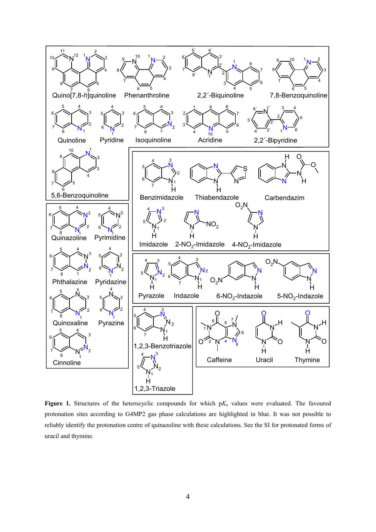

Figure 1. Structures of the heterocyclic compounds for which  $pK_a$  values were evaluated. The favoured protonation sites according to G4MP2 gas phase calculations are highlighted in blue. It was not possible to reliably identify the protonation centre of quinazoline with these calculations. See the SI for protonated forms of uracil and thymine.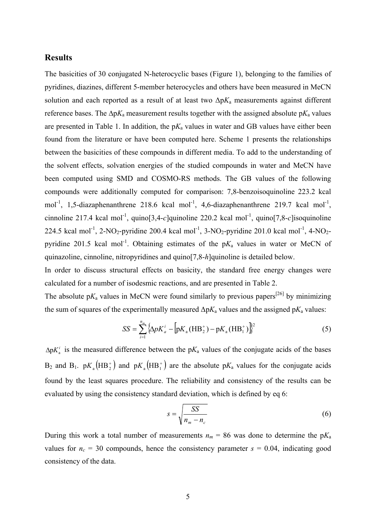# **Results**

The basicities of 30 conjugated N-heterocyclic bases (Figure 1), belonging to the families of pyridines, diazines, different 5-member heterocycles and others have been measured in MeCN solution and each reported as a result of at least two  $\Delta pK_a$  measurements against different reference bases. The ∆p*K*a measurement results together with the assigned absolute p*K*a values are presented in Table 1. In addition, the  $pK_a$  values in water and GB values have either been found from the literature or have been computed here. Scheme 1 presents the relationships between the basicities of these compounds in different media. To add to the understanding of the solvent effects, solvation energies of the studied compounds in water and MeCN have been computed using SMD and COSMO-RS methods. The GB values of the following compounds were additionally computed for comparison: 7,8-benzoisoquinoline 223.2 kcal mol<sup>-1</sup>, 1,5-diazaphenanthrene 218.6 kcal mol<sup>-1</sup>, 4,6-diazaphenanthrene 219.7 kcal mol<sup>-1</sup>, cinnoline 217.4 kcal mol-1, quino[3,4-*c*]quinoline 220.2 kcal mol-1, quino[7,8-*c*]isoquinoline 224.5 kcal mol<sup>-1</sup>, 2-NO<sub>2</sub>-pyridine 200.4 kcal mol<sup>-1</sup>, 3-NO<sub>2</sub>-pyridine 201.0 kcal mol<sup>-1</sup>, 4-NO<sub>2</sub>pyridine 201.5 kcal mol<sup>-1</sup>. Obtaining estimates of the  $pK_a$  values in water or MeCN of quinazoline, cinnoline, nitropyridines and quino[7,8-*h*]quinoline is detailed below.

In order to discuss structural effects on basicity, the standard free energy changes were calculated for a number of isodesmic reactions, and are presented in Table 2.

The absolute  $pK_a$  values in MeCN were found similarly to previous papers<sup>[26]</sup> by minimizing the sum of squares of the experimentally measured  $\Delta pK_a$  values and the assigned  $pK_a$  values:

$$
SS = \sum_{i=1}^{n_m} {\left[ \Delta p K_a^i - {\left[ pK_a(HB_2^+) - pK_a(HB_1^+) \right]} \right]}^2
$$
 (5)

 $\Delta p K_a^i$  is the measured difference between the  $pK_a$  values of the conjugate acids of the bases  $B_2$  and  $B_1$ .  $pK_a(HB_2^+)$  and  $pK_a(HB_1^+)$  are the absolute  $pK_a$  values for the conjugate acids found by the least squares procedure. The reliability and consistency of the results can be evaluated by using the consistency standard deviation, which is defined by eq 6:

$$
s = \sqrt{\frac{SS}{n_m - n_c}}
$$
 (6)

During this work a total number of measurements  $n_m = 86$  was done to determine the  $pK_a$ values for  $n_c = 30$  compounds, hence the consistency parameter  $s = 0.04$ , indicating good consistency of the data.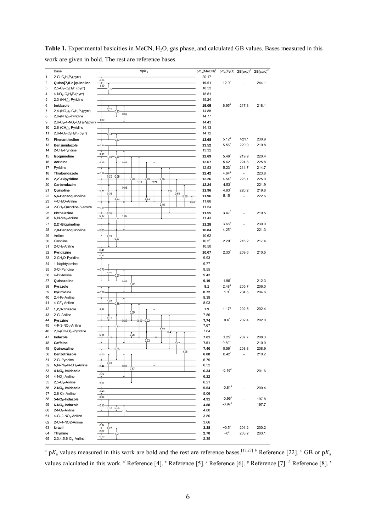|                     | Base                                                                                        | $\Delta pK_a$                     | $pK_a$ (MeCN) <sup>a</sup> | $pK_a(H_2O)$ GB(exp) <sup>b</sup> |                          | $GB(calc)^c$   |
|---------------------|---------------------------------------------------------------------------------------------|-----------------------------------|----------------------------|-----------------------------------|--------------------------|----------------|
| 1                   | 2-CI-C $_6$ H <sub>4</sub> P <sub>1</sub> (pyrr)                                            |                                   | 20.17                      |                                   |                          |                |
| 2                   | Quino[7,8-h]quinoline                                                                       | 0,58<br>۰<br>1,10                 | 19.61                      | 12.0 <sup>c</sup>                 |                          | 244.1          |
| 3                   | 2,5-Cl <sub>2</sub> -C <sub>6</sub> H <sub>3</sub> P <sub>1</sub> (pyrr)                    | 10                                | 18.52                      |                                   |                          |                |
| 4                   | $4-NO_2-C_6H_4P_1(pyrr)$                                                                    |                                   | 18.51                      |                                   |                          |                |
| 5                   | $2,3-(NH2)2$ -Pyridine                                                                      |                                   | 15.24                      |                                   |                          |                |
| 6<br>$\overline{7}$ | Imidazole<br>2,4- $(NO2)2$ -C <sub>6</sub> H <sub>3</sub> P <sub>1</sub> (pyrr)             | 0,19                              | 15.05<br>14.88             | 6.95 <sup>d</sup>                 | 217.3                    | 218.1          |
| 8                   | $2,6-(NH2)2-Pyridine$                                                                       | 0.62                              | 14.77                      |                                   |                          |                |
| 9                   | 2,6-Cl <sub>2</sub> -4-NO <sub>2</sub> -C <sub>6</sub> H <sub>2</sub> P <sub>1</sub> (pyrr) | 1,60                              | 14.43                      |                                   |                          |                |
| 10                  | $2,6-(CH3)2$ -Pyridine                                                                      |                                   | 14.13                      |                                   |                          |                |
| 11                  | 2,6-NO <sub>2</sub> -C <sub>6</sub> H <sub>3</sub> P <sub>1</sub> (pyrr)                    | 0.45                              | 14.12                      |                                   |                          |                |
| 12                  | Phenanthroline                                                                              | 0.63                              | 13.68                      | $5.12^{p}$                        | >217                     | 230.9          |
| 13                  | Benzimidazole                                                                               | $-0.41$                           | 13.52                      | $5.56^{\circ}$                    | 220.0                    | 219.8          |
| 14                  | 2-CH <sub>3</sub> -Pyridine                                                                 | 0.67                              | 13.32                      |                                   |                          |                |
| 15                  | Isoquinoline                                                                                | $02 -$<br>$-0.59$                 | 12.69                      | 5.46'                             | 219.9                    | 220.4          |
| 16                  | <b>Acridine</b>                                                                             | 0, 18<br>0.89                     | 12.67<br>12.53             | 5.62'<br>$5.23^{f}$               | 224.8<br>214.7           | 225.8<br>214.7 |
| 17<br>18            | Pyridine<br>Thiabendazole                                                                   | $-0.25$                           | 12.42                      | 4.64 <sup>g</sup>                 | $\overline{a}$           | 223.8          |
| 19                  | 2,2'-Bipyridine                                                                             | 0.2500.69<br>79<br>0.69<br>0.56   | 12.26                      | 4.54 <sup>h</sup>                 | 223.1                    | 225.0          |
| 20                  | Carbendazim                                                                                 | 0.79<br>1,10                      | 12.24                      | 4.53'                             | Ĭ.                       | 221.9          |
| 21                  | Quinoline                                                                                   | 0.56<br>$-0.41$<br>02             | 11.96                      | 4.93'                             | 220.2                    | 219.8          |
| 22                  | 5,6-Benzoquinoline                                                                          | 0.36<br>0.68<br>0,68              | 11.96                      | 5.15 <sup>h</sup>                 | J.                       | 222.6          |
| 23                  | 4-CH <sub>3</sub> O-Aniline                                                                 | 0.44<br>0,04<br>$0.45 -$<br>0.49  | 11.86                      |                                   |                          |                |
| 24                  | 2-CH <sub>3</sub> -Quinoline-8-amine                                                        | $-0.28$                           | 11.54                      |                                   |                          |                |
| 25                  | Phthalazine                                                                                 | 0.59<br>1,00<br>$^{0.12}$         | 11.55                      | 3.47'                             |                          | 219.5          |
| 26                  | N, N-Me <sub>2</sub> -Aniline                                                               | n 74                              | 11.43                      |                                   |                          |                |
| 27                  | 2,2'-Biquinoline                                                                            |                                   | 11.28                      | 3.66 <sup>n</sup>                 |                          | 230.0          |
| 28                  | 7,8-Benzoquinoline                                                                          | $-0.65$<br>0.79                   | 10.84                      | 4.25 <sup>h</sup>                 |                          | 221.3          |
| 29<br>30            | Aniline<br>Cinnoline                                                                        | 0.37                              | 10.62<br>$10.5^{\circ}$    | 2.29'                             | 216.2                    | 217.4          |
| 31                  | 2-CH <sub>3</sub> -Aniline                                                                  |                                   | 10.50                      |                                   |                          |                |
| 32                  | Pyridazine                                                                                  | $0.41$<br>$0.13$                  | 10.07                      | $2.33^{f}$                        | 209.6                    | 210.5          |
| 33                  | 2-CH <sub>3</sub> O-Pyridine                                                                |                                   | 9.93                       |                                   |                          |                |
| 34                  | 1-Naphtylamine                                                                              |                                   | 9.77                       |                                   |                          |                |
| 35                  | 3-Cl-Pyridine                                                                               | $-0.73$<br>0.69                   | 9.55                       |                                   |                          |                |
| 36                  | 4-Br-Aniline                                                                                | 0.37                              | 9.43                       |                                   |                          |                |
| 37                  | Quinazoline                                                                                 | 0.05<br>0.72                      | 9.19                       | 1.95'                             |                          | 212.3          |
| 38                  | Pyrazole                                                                                    |                                   | 9.1                        | 2.48 <sup>q</sup><br>$1.3^{f}$    | 205.7                    | 206.0          |
| 39<br>40            | Pyrimidine<br>$2,4-F_2$ -Aniline                                                            | $-0.77$                           | 8.72<br>8.39               |                                   | 204.5                    | 204.6          |
| 41                  | $4$ -CF <sub>3</sub> -Aniline                                                               | 1,21<br>0.88                      | 8.03                       |                                   |                          |                |
| 42                  | 1,2,3-Triazole                                                                              | $-0.66$                           | 7.9                        | $1.17^{9}$                        | 202.5                    | 202.4          |
| 43                  | 2-Cl-Aniline                                                                                | 0.30                              | 7.86                       |                                   |                          |                |
| 44                  | Pyrazine                                                                                    | 0.11<br>0.86<br>$42 -$<br>$-0.22$ | 7.74                       | 0.6 <sup>f</sup>                  | 202.4                    | 202.0          |
| 45                  | 4-F-3-NO <sub>2</sub> -Aniline                                                              | 0.28<br>0.37                      | 7.67                       |                                   |                          |                |
| 46                  | $2,6-(CH3O)2$ -Pyridine                                                                     | 0.43<br>0.05<br>0,16              | 7.64                       |                                   |                          |                |
| 47                  | Indazole                                                                                    | 28<br>0.23                        | 7.61                       | $1.25^{j}$                        | 207.7                    | 208.3          |
| 48                  | Caffeine                                                                                    | o                                 | 7.51                       | $0.60^{k}$                        | ÷,                       | 210.0          |
| 49                  | Quinoxaline                                                                                 | 1,28                              | 7.40                       | $0.56^{f}$                        | 208.8                    | 208.9          |
| 50                  | Benzotriazole                                                                               | $-0.58$                           | 6.88                       | 0.42'                             | $\overline{\phantom{m}}$ | 210.2          |
| 51<br>52            | 2-Cl-Pyridine<br>N, N-Ph <sub>2</sub> -N-CH <sub>3</sub> -Amine                             | 0,53<br>$-0.44$                   | 6.79<br>6.52               |                                   |                          |                |
| 53                  | 4-NO <sub>2</sub> -Imidazole                                                                | 0,67                              | 6.34                       | $-0.16^{m}$                       |                          | 201.6          |
| 54                  | $4-NO_2$ -Aniline                                                                           | 0.06                              | 6.22                       |                                   |                          |                |
| 55                  | $2,5$ -Cl <sub>2</sub> -Aniline                                                             | $-0.68$                           | 6.21                       |                                   |                          |                |
| 56                  | 2-NO <sub>2</sub> -Imidazole                                                                |                                   | 5.54                       | $-0.81$ <sup>d</sup>              |                          | 200.4          |
| 57                  | 2,6-Cl <sub>2</sub> -Aniline                                                                | 0,48<br>$rac{1}{0.22}$            | 5.06                       |                                   |                          |                |
| 58                  | 5-NO <sub>2</sub> -Indazole                                                                 |                                   | 4.91                       | $-0.96^{\circ}$                   |                          | 197.8          |
| 59                  | 6-NO <sub>2</sub> -Indazole                                                                 | $-0.13$<br>$1,16$ 0.06            | 4.88                       | $-0.97^e$                         |                          | 197.7          |
| 60                  | $2-NO2$ -Aniline                                                                            |                                   | 4.80                       |                                   |                          |                |
| 61                  | 4-Cl-2-NO <sub>2</sub> -Aniline                                                             |                                   | 3.80                       |                                   |                          |                |
| 62                  | 2-Cl-4-NO2-Aniline                                                                          | 0.24                              | 3.66                       |                                   |                          |                |
| 63                  | Uracil                                                                                      | 0.97<br>0.67                      | 3.38                       | $\sim 0.5^\circ$                  | 201.2                    | 200.2          |
| 64                  | <b>Thymine</b>                                                                              | 01.<br>0.36                       | 2.70<br>2.35               | $\sim0^{\circ}$                   | 203.2                    | 203.1          |
| 65                  | $2, 3, 4, 5, 6$ -Cl <sub>5</sub> -Aniline                                                   |                                   |                            |                                   |                          |                |

Table 1. Experimental basicities in MeCN, H<sub>2</sub>O, gas phase, and calculated GB values. Bases measured in this work are given in bold. The rest are reference bases.

 $a<sup>a</sup>$  p*K*<sub>a</sub> values measured in this work are bold and the rest are reference bases.<sup>[17,27]</sup> *b* Reference [22]. <sup>*c*</sup> GB or p*K*<sub>a</sub> values calculated in this work. <sup>*d*</sup> Reference [4]. <sup>*e*</sup> Reference [5]. <sup>*f*</sup> Reference [6]. <sup>*8*</sup> Reference [7]. <sup>*h*</sup> Reference [8]. <sup>*i*</sup>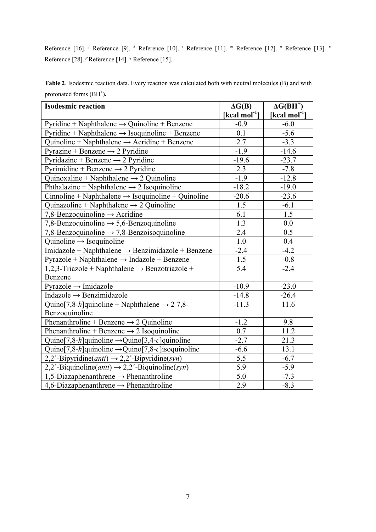Reference [16]. <sup>*j*</sup> Reference [9]. <sup>*k*</sup> Reference [10]. <sup>*l*</sup> Reference [11]. <sup>*m*</sup> Reference [12]. <sup>*n*</sup> Reference [13]. <sup>*o*</sup> Reference [28]. <sup>*p*</sup> Reference [14]. <sup>*q*</sup> Reference [15].

**Table 2**. Isodesmic reaction data. Every reaction was calculated both with neutral molecules (B) and with protonated forms (BH<sup>+</sup>).

| <b>Isodesmic reaction</b>                                                  | $\Delta G(B)$             | $\Delta G(BH^+)$          |
|----------------------------------------------------------------------------|---------------------------|---------------------------|
|                                                                            | [kcal mol <sup>-1</sup> ] | [kcal mol <sup>-1</sup> ] |
| Pyridine + Naphthalene $\rightarrow$ Quinoline + Benzene                   | $-0.9$                    | $-6.0$                    |
| $Pyridine + Naphthalene \rightarrow Isoquinoline + Benzene$                | 0.1                       | $-5.6$                    |
| Quinoline + Naphthalene $\rightarrow$ Acridine + Benzene                   | 2.7                       | $-3.3$                    |
| Pyrazine + Benzene $\rightarrow$ 2 Pyridine                                | $-1.9$                    | $-14.6$                   |
| Pyridazine + Benzene $\rightarrow$ 2 Pyridine                              | $-19.6$                   | $-23.7$                   |
| Pyrimidine + Benzene $\rightarrow$ 2 Pyridine                              | 2.3                       | $-7.8$                    |
| Quinoxaline + Naphthalene $\rightarrow$ 2 Quinoline                        | $-1.9$                    | $-12.8$                   |
| Phthalazine + Naphthalene $\rightarrow$ 2 Isoquinoline                     | $-18.2$                   | $-19.0$                   |
| Cinnoline + Naphthalene $\rightarrow$ Isoquinoline + Quinoline             | $-20.6$                   | $-23.6$                   |
| Quinazoline + Naphthalene $\rightarrow$ 2 Quinoline                        | 1.5                       | $-6.1$                    |
| 7,8-Benzoquinoline $\rightarrow$ Acridine                                  | 6.1                       | 1.5                       |
| 7,8-Benzoquinoline $\rightarrow$ 5,6-Benzoquinoline                        | 1.3                       | 0.0                       |
| 7,8-Benzoquinoline $\rightarrow$ 7,8-Benzoisoquinoline                     | 2.4                       | $\overline{0.5}$          |
| Quinoline $\rightarrow$ Isoquinoline                                       | 1.0                       | 0.4                       |
| Imidazole + Naphthalene $\rightarrow$ Benzimidazole + Benzene              | $-2.4$                    | $-4.2$                    |
| Pyrazole + Naphthalene $\rightarrow$ Indazole + Benzene                    | 1.5                       | $-0.8$                    |
| 1,2,3-Triazole + Naphthalene $\rightarrow$ Benzotriazole +                 | 5.4                       | $-2.4$                    |
| Benzene                                                                    |                           |                           |
| $Pyrazole \rightarrow Imidazole$                                           | $-10.9$                   | $-23.0$                   |
| Indazole $\rightarrow$ Benzimidazole                                       | $-14.8$                   | $-26.4$                   |
| Quino[7,8-h]quinoline + Naphthalene $\rightarrow$ 27,8-                    | $-11.3$                   | 11.6                      |
| Benzoquinoline                                                             |                           |                           |
| Phenanthroline + Benzene $\rightarrow$ 2 Quinoline                         | $-1.2$                    | 9.8                       |
| Phenanthroline + Benzene $\rightarrow$ 2 Isoquinoline                      | 0.7                       | 11.2                      |
| Quino[7,8-h]quinoline $\rightarrow$ Quino[3,4-c]quinoline                  | $-2.7$                    | 21.3                      |
| Quino[7,8-h]quinoline $\rightarrow$ Quino[7,8-c] isoquinoline              | $-6.6$                    | 13.1                      |
| 2,2'-Bipyridine( <i>anti</i> ) $\rightarrow$ 2,2'-Bipyridine( <i>syn</i> ) | 5.5                       | $-6.7$                    |
| 2,2'-Biquinoline(anti) $\rightarrow$ 2,2'-Biquinoline(syn)                 | 5.9                       | $-5.9$                    |
| 1,5-Diazaphenanthrene $\rightarrow$ Phenanthroline                         | 5.0                       | $-7.3$                    |
| 4,6-Diazaphenanthrene $\rightarrow$ Phenanthroline                         | 2.9                       | $-8.3$                    |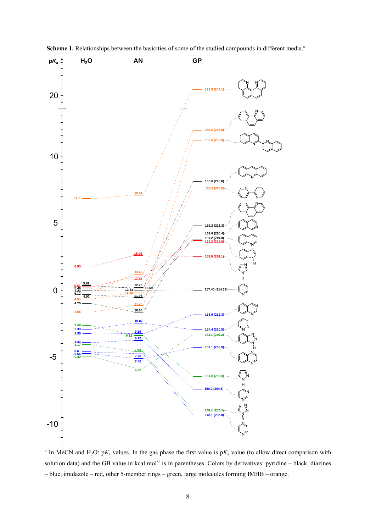

Scheme 1. Relationships between the basicities of some of the studied compounds in different media.<sup>*a*</sup>

<sup>*a*</sup> In MeCN and H<sub>2</sub>O: p $K_a$  values. In the gas phase the first value is p $K_a$  value (to allow direct comparison with solution data) and the GB value in kcal mol<sup>-1</sup> is in parentheses. Colors by derivatives: pyridine – black, diazines – blue, imidazole – red, other 5-member rings – green, large molecules forming IMHB – orange.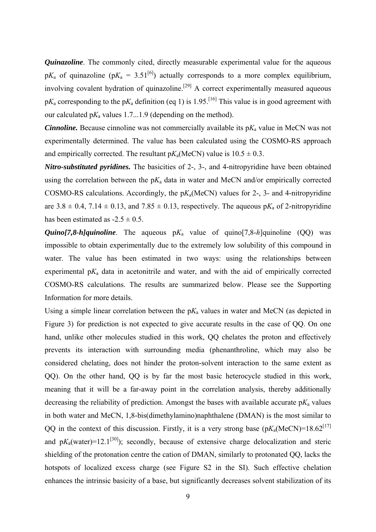*Quinazoline*. The commonly cited, directly measurable experimental value for the aqueous  $pK_a$  of quinazoline ( $pK_a = 3.51^{[6]}$ ) actually corresponds to a more complex equilibrium, involving covalent hydration of quinazoline.<sup>[29]</sup> A correct experimentally measured aqueous  $pK_a$  corresponding to the  $pK_a$  definition (eq 1) is 1.95.<sup>[16]</sup> This value is in good agreement with our calculated p*K*a values 1.7...1.9 (depending on the method).

*Cinnoline.* Because cinnoline was not commercially available its  $pK_a$  value in MeCN was not experimentally determined. The value has been calculated using the COSMO-RS approach and empirically corrected. The resultant  $pK_a$ (MeCN) value is  $10.5 \pm 0.3$ .

*Nitro-substituted pyridines.* The basicities of 2-, 3-, and 4-nitropyridine have been obtained using the correlation between the  $pK_a$  data in water and MeCN and/or empirically corrected COSMO-RS calculations. Accordingly, the p*K*a(MeCN) values for 2-, 3- and 4-nitropyridine are  $3.8 \pm 0.4$ ,  $7.14 \pm 0.13$ , and  $7.85 \pm 0.13$ , respectively. The aqueous p $K_a$  of 2-nitropyridine has been estimated as  $-2.5 \pm 0.5$ .

*Quino[7,8-h]quinoline*. The aqueous  $pK_a$  value of quino[7,8-h]quinoline (QQ) was impossible to obtain experimentally due to the extremely low solubility of this compound in water. The value has been estimated in two ways: using the relationships between experimental  $pK_a$  data in acetonitrile and water, and with the aid of empirically corrected COSMO-RS calculations. The results are summarized below. Please see the Supporting Information for more details.

Using a simple linear correlation between the  $pK_a$  values in water and MeCN (as depicted in Figure 3) for prediction is not expected to give accurate results in the case of QQ. On one hand, unlike other molecules studied in this work, QQ chelates the proton and effectively prevents its interaction with surrounding media (phenanthroline, which may also be considered chelating, does not hinder the proton-solvent interaction to the same extent as QQ). On the other hand, QQ is by far the most basic heterocycle studied in this work, meaning that it will be a far-away point in the correlation analysis, thereby additionally decreasing the reliability of prediction. Amongst the bases with available accurate  $pK_a$  values in both water and MeCN, 1,8-bis(dimethylamino)naphthalene (DMAN) is the most similar to QQ in the context of this discussion. Firstly, it is a very strong base  $(pK_a(MeCN)=18.62^{[17]}$ and  $pK_a(water)=12.1^{[30]}$ ; secondly, because of extensive charge delocalization and steric shielding of the protonation centre the cation of DMAN, similarly to protonated QQ, lacks the hotspots of localized excess charge (see Figure S2 in the SI). Such effective chelation enhances the intrinsic basicity of a base, but significantly decreases solvent stabilization of its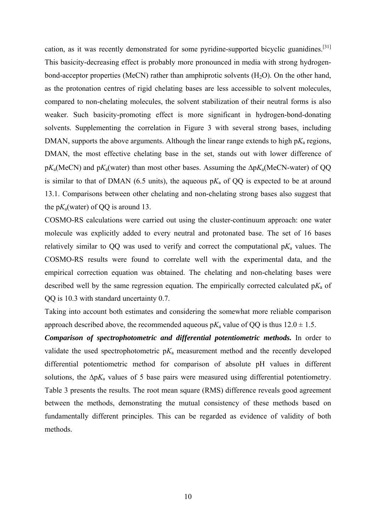cation, as it was recently demonstrated for some pyridine-supported bicyclic guanidines.[31] This basicity-decreasing effect is probably more pronounced in media with strong hydrogenbond-acceptor properties (MeCN) rather than amphiprotic solvents  $(H_2O)$ . On the other hand, as the protonation centres of rigid chelating bases are less accessible to solvent molecules, compared to non-chelating molecules, the solvent stabilization of their neutral forms is also weaker. Such basicity-promoting effect is more significant in hydrogen-bond-donating solvents. Supplementing the correlation in Figure 3 with several strong bases, including DMAN, supports the above arguments. Although the linear range extends to high  $pK_a$  regions, DMAN, the most effective chelating base in the set, stands out with lower difference of p*K*a(MeCN) and p*K*a(water) than most other bases. Assuming the Δp*K*a(MeCN-water) of QQ is similar to that of DMAN (6.5 units), the aqueous  $pK_a$  of QQ is expected to be at around 13.1. Comparisons between other chelating and non-chelating strong bases also suggest that the  $pK_a$ (water) of QQ is around 13.

COSMO-RS calculations were carried out using the cluster-continuum approach: one water molecule was explicitly added to every neutral and protonated base. The set of 16 bases relatively similar to QQ was used to verify and correct the computational  $pK_a$  values. The COSMO-RS results were found to correlate well with the experimental data, and the empirical correction equation was obtained. The chelating and non-chelating bases were described well by the same regression equation. The empirically corrected calculated  $pK_a$  of QQ is 10.3 with standard uncertainty 0.7.

Taking into account both estimates and considering the somewhat more reliable comparison approach described above, the recommended aqueous  $pK_a$  value of QQ is thus  $12.0 \pm 1.5$ .

*Comparison of spectrophotometric and differential potentiometric methods.* In order to validate the used spectrophotometric  $pK_a$  measurement method and the recently developed differential potentiometric method for comparison of absolute pH values in different solutions, the  $\Delta pK_a$  values of 5 base pairs were measured using differential potentiometry. Table 3 presents the results. The root mean square (RMS) difference reveals good agreement between the methods, demonstrating the mutual consistency of these methods based on fundamentally different principles. This can be regarded as evidence of validity of both methods.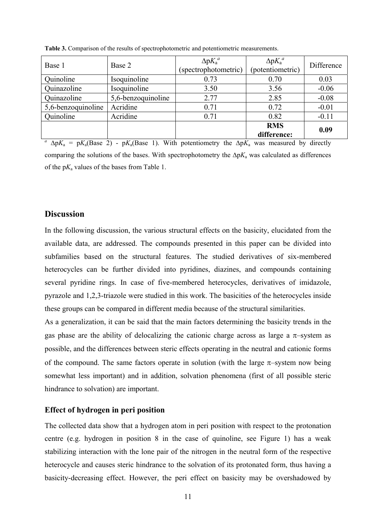| Base 1             | Base 2             | $\Delta p K_a^a$<br>(spectrophotometric) | $\Delta pK_a^a$<br>(potentiometric) | Difference |
|--------------------|--------------------|------------------------------------------|-------------------------------------|------------|
| Quinoline          | Isoquinoline       | 0.73                                     | 0.70                                | 0.03       |
| Quinazoline        | Isoquinoline       | 3.50                                     | 3.56                                | $-0.06$    |
| Quinazoline        | 5,6-benzoquinoline | 2.77                                     | 2.85                                | $-0.08$    |
| 5,6-benzoquinoline | Acridine           | 0.71                                     | 0.72                                | $-0.01$    |
| Quinoline          | Acridine           | 0.71                                     | 0.82                                | $-0.11$    |
|                    |                    |                                          | <b>RMS</b><br>difference:           | 0.09       |

**Table 3.** Comparison of the results of spectrophotometric and potentiometric measurements.

<sup>a</sup>  $\Delta pK_a = pK_a(Base 2)$  -  $pK_a(Base 1)$ . With potentiometry the  $\Delta pK_a$  was measured by directly comparing the solutions of the bases. With spectrophotometry the ∆p*K*a was calculated as differences of the  $pK_a$  values of the bases from Table 1.

# **Discussion**

In the following discussion, the various structural effects on the basicity, elucidated from the available data, are addressed. The compounds presented in this paper can be divided into subfamilies based on the structural features. The studied derivatives of six-membered heterocycles can be further divided into pyridines, diazines, and compounds containing several pyridine rings. In case of five-membered heterocycles, derivatives of imidazole, pyrazole and 1,2,3-triazole were studied in this work. The basicities of the heterocycles inside these groups can be compared in different media because of the structural similarities.

As a generalization, it can be said that the main factors determining the basicity trends in the gas phase are the ability of delocalizing the cationic charge across as large a  $\pi$ -system as possible, and the differences between steric effects operating in the neutral and cationic forms of the compound. The same factors operate in solution (with the large  $\pi$ -system now being somewhat less important) and in addition, solvation phenomena (first of all possible steric hindrance to solvation) are important.

#### **Effect of hydrogen in peri position**

The collected data show that a hydrogen atom in peri position with respect to the protonation centre (e.g. hydrogen in position 8 in the case of quinoline, see Figure 1) has a weak stabilizing interaction with the lone pair of the nitrogen in the neutral form of the respective heterocycle and causes steric hindrance to the solvation of its protonated form, thus having a basicity-decreasing effect. However, the peri effect on basicity may be overshadowed by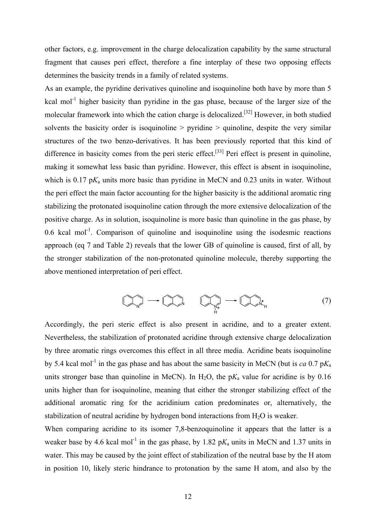other factors, e.g. improvement in the charge delocalization capability by the same structural fragment that causes peri effect, therefore a fine interplay of these two opposing effects determines the basicity trends in a family of related systems.

As an example, the pyridine derivatives quinoline and isoquinoline both have by more than 5 kcal mol<sup>-1</sup> higher basicity than pyridine in the gas phase, because of the larger size of the molecular framework into which the cation charge is delocalized.<sup>[32]</sup> However, in both studied solvents the basicity order is isoquinoline  $>$  pyridine  $>$  quinoline, despite the very similar structures of the two benzo-derivatives. It has been previously reported that this kind of difference in basicity comes from the peri steric effect.<sup>[33]</sup> Peri effect is present in quinoline, making it somewhat less basic than pyridine. However, this effect is absent in isoquinoline, which is  $0.17 \text{ p}K_a$  units more basic than pyridine in MeCN and  $0.23$  units in water. Without the peri effect the main factor accounting for the higher basicity is the additional aromatic ring stabilizing the protonated isoquinoline cation through the more extensive delocalization of the positive charge. As in solution, isoquinoline is more basic than quinoline in the gas phase, by 0.6 kcal mol<sup>-1</sup>. Comparison of quinoline and isoquinoline using the isodesmic reactions approach (eq 7 and Table 2) reveals that the lower GB of quinoline is caused, first of all, by the stronger stabilization of the non-protonated quinoline molecule, thereby supporting the above mentioned interpretation of peri effect.

<sup>N</sup> <sup>N</sup> <sup>N</sup> H <sup>N</sup> <sup>H</sup> <sup>+</sup> + (7)

Accordingly, the peri steric effect is also present in acridine, and to a greater extent. Nevertheless, the stabilization of protonated acridine through extensive charge delocalization by three aromatic rings overcomes this effect in all three media. Acridine beats isoquinoline by 5.4 kcal mol<sup>-1</sup> in the gas phase and has about the same basicity in MeCN (but is *ca* 0.7 p $K_a$ ) units stronger base than quinoline in MeCN). In H<sub>2</sub>O, the  $pK_a$  value for acridine is by 0.16 units higher than for isoquinoline, meaning that either the stronger stabilizing effect of the additional aromatic ring for the acridinium cation predominates or, alternatively, the stabilization of neutral acridine by hydrogen bond interactions from  $H_2O$  is weaker.

When comparing acridine to its isomer 7,8-benzoquinoline it appears that the latter is a weaker base by 4.6 kcal mol<sup>-1</sup> in the gas phase, by 1.82 p $K_a$  units in MeCN and 1.37 units in water. This may be caused by the joint effect of stabilization of the neutral base by the H atom in position 10, likely steric hindrance to protonation by the same H atom, and also by the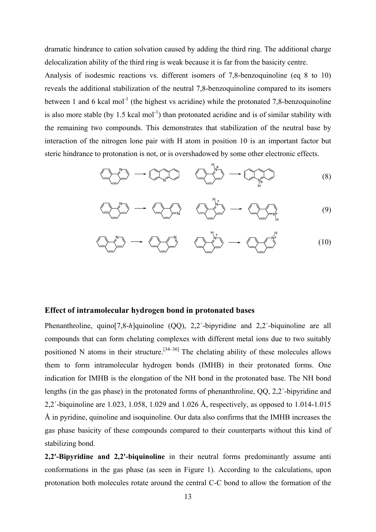dramatic hindrance to cation solvation caused by adding the third ring. The additional charge delocalization ability of the third ring is weak because it is far from the basicity centre.

Analysis of isodesmic reactions vs. different isomers of 7,8-benzoquinoline (eq 8 to 10) reveals the additional stabilization of the neutral 7,8-benzoquinoline compared to its isomers between 1 and 6 kcal mol<sup>-1</sup> (the highest vs acridine) while the protonated 7,8-benzoquinoline is also more stable (by 1.5 kcal mol<sup>-1</sup>) than protonated acridine and is of similar stability with the remaining two compounds. This demonstrates that stabilization of the neutral base by interaction of the nitrogen lone pair with H atom in position 10 is an important factor but steric hindrance to protonation is not, or is overshadowed by some other electronic effects.

$$
\left(\bigvee_{i=1}^{n} \bigvee_{i=1}^{n} \cdots \bigvee_{i=1}^{n} \bigvee_{i=1}^{n} \bigvee_{i=1}^{n} \bigvee_{i=1}^{n} \bigvee_{i=1}^{n} \bigvee_{i=1}^{n} \bigvee_{i=1}^{n} \bigvee_{i=1}^{n} \bigvee_{i=1}^{n} \bigvee_{i=1}^{n} \bigvee_{i=1}^{n} \bigvee_{i=1}^{n} \bigvee_{i=1}^{n} \bigvee_{i=1}^{n} \bigvee_{i=1}^{n} \bigvee_{i=1}^{n} \bigvee_{i=1}^{n} \bigvee_{i=1}^{n} \bigvee_{i=1}^{n} \bigvee_{i=1}^{n} \bigvee_{i=1}^{n} \bigvee_{i=1}^{n} \bigvee_{i=1}^{n} \bigvee_{i=1}^{n} \bigvee_{i=1}^{n} \bigvee_{i=1}^{n} \bigvee_{i=1}^{n} \bigvee_{i=1}^{n} \bigvee_{i=1}^{n} \bigvee_{i=1}^{n} \bigvee_{i=1}^{n} \bigvee_{i=1}^{n} \bigvee_{i=1}^{n} \bigvee_{i=1}^{n} \bigvee_{i=1}^{n} \bigvee_{i=1}^{n} \bigvee_{i=1}^{n} \bigvee_{i=1}^{n} \bigvee_{i=1}^{n} \bigvee_{i=1}^{n} \bigvee_{i=1}^{n} \bigvee_{i=1}^{n} \bigvee_{i=1}^{n} \bigvee_{i=1}^{n} \bigvee_{i=1}^{n} \bigvee_{i=1}^{n} \bigvee_{i=1}^{n} \bigvee_{i=1}^{n} \bigvee_{i=1}^{n} \bigvee_{i=1}^{n} \bigvee_{i=1}^{n} \bigvee_{i=1}^{n} \bigvee_{i=1}^{n} \bigvee_{i=1}^{n} \bigvee_{i=1}^{n} \bigvee_{i=1}^{n} \bigvee_{i=1}^{n} \bigvee_{i=1}^{n} \bigvee_{i=1}^{n} \bigvee_{i=1}^{n} \bigvee_{i=1}^{n
$$

H

$$
\left(\bigvee_{i=1}^{n} \bigvee_{j=1}^{n} \cdots \bigvee_{i=1}^{n} \bigvee_{j=1}^{n} \cdots \bigvee_{i=1}^{n} \bigvee_{j=1}^{n} \bigvee_{j=1}^{n} \bigvee_{j=1}^{n} \bigvee_{j=1}^{n} \bigvee_{j=1}^{n} \bigvee_{j=1}^{n} \bigvee_{j=1}^{n} \bigvee_{j=1}^{n} \bigvee_{j=1}^{n} \bigvee_{j=1}^{n} \bigvee_{j=1}^{n} \bigvee_{j=1}^{n} \bigvee_{j=1}^{n} \bigvee_{j=1}^{n} \bigvee_{j=1}^{n} \bigvee_{j=1}^{n} \bigvee_{j=1}^{n} \bigvee_{j=1}^{n} \bigvee_{j=1}^{n} \bigvee_{j=1}^{n} \bigvee_{j=1}^{n} \bigvee_{j=1}^{n} \bigvee_{j=1}^{n} \bigvee_{j=1}^{n} \bigvee_{j=1}^{n} \bigvee_{j=1}^{n} \bigvee_{j=1}^{n} \bigvee_{j=1}^{n} \bigvee_{j=1}^{n} \bigvee_{j=1}^{n} \bigvee_{j=1}^{n} \bigvee_{j=1}^{n} \bigvee_{j=1}^{n} \bigvee_{j=1}^{n} \bigvee_{j=1}^{n} \bigvee_{j=1}^{n} \bigvee_{j=1}^{n} \bigvee_{j=1}^{n} \bigvee_{j=1}^{n} \bigvee_{j=1}^{n} \bigvee_{j=1}^{n} \bigvee_{j=1}^{n} \bigvee_{j=1}^{n} \bigvee_{j=1}^{n} \bigvee_{j=1}^{n} \bigvee_{j=1}^{n} \bigvee_{j=1}^{n} \bigvee_{j=1}^{n} \bigvee_{j=1}^{n} \bigvee_{j=1}^{n} \bigvee_{j=1}^{n} \bigvee_{j=1}^{n} \bigvee_{j=1}^{n} \bigvee_{j=1}^{n} \bigvee_{j=1}^{n} \bigvee_{j=1}^{n} \bigvee_{j=1}^{n} \bigvee_{j=1
$$

$$
\left(\bigvee_{i=1}^{n} \mathbb{I}\right) \longrightarrow \left(\bigvee_{i=1}^{n} \mathbb{I}\right) \longrightarrow \left(\bigvee_{i=1}^{n} \bigvee_{i=1}^{n} \bigvee_{i=1}^{n} \bigvee_{i=1}^{n} \bigvee_{i=1}^{n} \bigvee_{i=1}^{n} \bigvee_{i=1}^{n} \bigvee_{i=1}^{n} \bigvee_{i=1}^{n} \bigvee_{i=1}^{n} \bigvee_{i=1}^{n} \bigvee_{i=1}^{n} \bigvee_{i=1}^{n} \bigvee_{i=1}^{n} \bigvee_{i=1}^{n} \bigvee_{i=1}^{n} \bigvee_{i=1}^{n} \bigvee_{i=1}^{n} \bigvee_{i=1}^{n} \bigvee_{i=1}^{n} \bigvee_{i=1}^{n} \bigvee_{i=1}^{n} \bigvee_{i=1}^{n} \bigvee_{i=1}^{n} \bigvee_{i=1}^{n} \bigvee_{i=1}^{n} \bigvee_{i=1}^{n} \bigvee_{i=1}^{n} \bigvee_{i=1}^{n} \bigvee_{i=1}^{n} \bigvee_{i=1}^{n} \bigvee_{i=1}^{n} \bigvee_{i=1}^{n} \bigvee_{i=1}^{n} \bigvee_{i=1}^{n} \bigvee_{i=1}^{n} \bigvee_{i=1}^{n} \bigvee_{i=1}^{n} \bigvee_{i=1}^{n} \bigvee_{i=1}^{n} \bigvee_{i=1}^{n} \bigvee_{i=1}^{n} \bigvee_{i=1}^{n} \bigvee_{i=1}^{n} \bigvee_{i=1}^{n} \bigvee_{i=1}^{n} \bigvee_{i=1}^{n} \bigvee_{i=1}^{n} \bigvee_{i=1}^{n} \bigvee_{i=1}^{n} \bigvee_{i=1}^{n} \bigvee_{i=1}^{n} \bigvee_{i=1}^{n} \bigvee_{i=1}^{n} \bigvee_{i=1}^{n} \bigvee_{i=1}^{n} \bigvee_{i=1}^{n} \bigvee_{i=1}^{n} \bigvee_{i=1}^{n} \big
$$

#### **Effect of intramolecular hydrogen bond in protonated bases**

Phenanthroline, quino[7,8-*h*]quinoline (QQ), 2,2´-bipyridine and 2,2´-biquinoline are all compounds that can form chelating complexes with different metal ions due to two suitably positioned N atoms in their structure.<sup>[34-36]</sup> The chelating ability of these molecules allows them to form intramolecular hydrogen bonds (IMHB) in their protonated forms. One indication for IMHB is the elongation of the NH bond in the protonated base. The NH bond lengths (in the gas phase) in the protonated forms of phenanthroline, QQ, 2,2´-bipyridine and 2,2´-biquinoline are 1.023, 1.058, 1.029 and 1.026 Å, respectively, as opposed to 1.014-1.015 Å in pyridine, quinoline and isoquinoline. Our data also confirms that the IMHB increases the gas phase basicity of these compounds compared to their counterparts without this kind of stabilizing bond.

**2,2'-Bipyridine and 2,2'-biquinoline** in their neutral forms predominantly assume anti conformations in the gas phase (as seen in Figure 1). According to the calculations, upon protonation both molecules rotate around the central C-C bond to allow the formation of the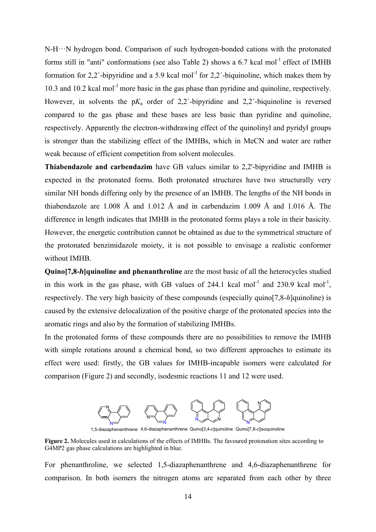N-H···N hydrogen bond. Comparison of such hydrogen-bonded cations with the protonated forms still in "anti" conformations (see also Table 2) shows a 6.7 kcal mol<sup>-1</sup> effect of IMHB formation for 2,2'-bipyridine and a 5.9 kcal mol<sup>-1</sup> for 2,2'-biquinoline, which makes them by 10.3 and 10.2 kcal mol<sup>-1</sup> more basic in the gas phase than pyridine and quinoline, respectively. However, in solvents the  $pK_a$  order of 2,2<sup>'</sup>-bipyridine and 2,2<sup>'</sup>-biquinoline is reversed compared to the gas phase and these bases are less basic than pyridine and quinoline, respectively. Apparently the electron-withdrawing effect of the quinolinyl and pyridyl groups is stronger than the stabilizing effect of the IMHBs, which in MeCN and water are rather weak because of efficient competition from solvent molecules.

**Thiabendazole and carbendazim** have GB values similar to 2,2'-bipyridine and IMHB is expected in the protonated forms. Both protonated structures have two structurally very similar NH bonds differing only by the presence of an IMHB. The lengths of the NH bonds in thiabendazole are 1.008 Å and 1.012 Å and in carbendazim 1.009 Å and 1.016 Å. The difference in length indicates that IMHB in the protonated forms plays a role in their basicity. However, the energetic contribution cannot be obtained as due to the symmetrical structure of the protonated benzimidazole moiety, it is not possible to envisage a realistic conformer without IMHB.

**Quino[7,8-***h***]quinoline and phenanthroline** are the most basic of all the heterocycles studied in this work in the gas phase, with GB values of  $244.1$  kcal mol<sup>-1</sup> and  $230.9$  kcal mol<sup>-1</sup>. respectively. The very high basicity of these compounds (especially quino[7,8-*h*]quinoline) is caused by the extensive delocalization of the positive charge of the protonated species into the aromatic rings and also by the formation of stabilizing IMHBs.

In the protonated forms of these compounds there are no possibilities to remove the IMHB with simple rotations around a chemical bond, so two different approaches to estimate its effect were used: firstly, the GB values for IMHB-incapable isomers were calculated for comparison (Figure 2) and secondly, isodesmic reactions 11 and 12 were used.



1,5-diazaphenanthrene 4,6-diazaphenanthrene Quino[3,4-*c*]quinoline Quino[7,8-*c*]isoquinoline

**Figure 2.** Molecules used in calculations of the effects of IMHBs. The favoured protonation sites according to G4MP2 gas phase calculations are highlighted in blue.

For phenanthroline, we selected 1,5-diazaphenanthrene and 4,6-diazaphenanthrene for comparison. In both isomers the nitrogen atoms are separated from each other by three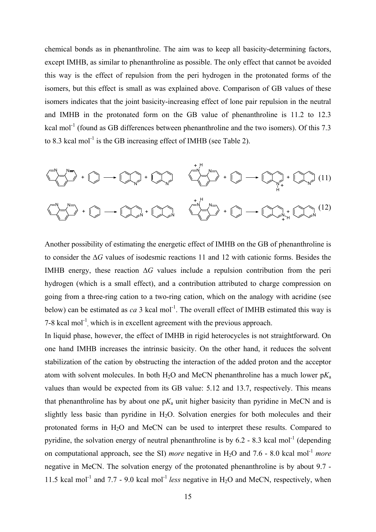chemical bonds as in phenanthroline. The aim was to keep all basicity-determining factors, except IMHB, as similar to phenanthroline as possible. The only effect that cannot be avoided this way is the effect of repulsion from the peri hydrogen in the protonated forms of the isomers, but this effect is small as was explained above. Comparison of GB values of these isomers indicates that the joint basicity-increasing effect of lone pair repulsion in the neutral and IMHB in the protonated form on the GB value of phenanthroline is 11.2 to 12.3 kcal mol<sup>-1</sup> (found as GB differences between phenanthroline and the two isomers). Of this 7.3 to 8.3 kcal mol<sup>-1</sup> is the GB increasing effect of IMHB (see Table 2).



Another possibility of estimating the energetic effect of IMHB on the GB of phenanthroline is to consider the ∆*G* values of isodesmic reactions 11 and 12 with cationic forms. Besides the IMHB energy, these reaction ∆*G* values include a repulsion contribution from the peri hydrogen (which is a small effect), and a contribution attributed to charge compression on going from a three-ring cation to a two-ring cation, which on the analogy with acridine (see below) can be estimated as  $ca$  3 kcal mol<sup>-1</sup>. The overall effect of IMHB estimated this way is 7-8 kcal mol<sup>-1</sup>, which is in excellent agreement with the previous approach.

In liquid phase, however, the effect of IMHB in rigid heterocycles is not straightforward. On one hand IMHB increases the intrinsic basicity. On the other hand, it reduces the solvent stabilization of the cation by obstructing the interaction of the added proton and the acceptor atom with solvent molecules. In both  $H_2O$  and MeCN phenanthroline has a much lower  $pK_a$ values than would be expected from its GB value: 5.12 and 13.7, respectively. This means that phenanthroline has by about one  $pK_a$  unit higher basicity than pyridine in MeCN and is slightly less basic than pyridine in  $H_2O$ . Solvation energies for both molecules and their protonated forms in H2O and MeCN can be used to interpret these results. Compared to pyridine, the solvation energy of neutral phenanthroline is by  $6.2 - 8.3$  kcal mol<sup>-1</sup> (depending on computational approach, see the SI) *more* negative in H<sub>2</sub>O and 7.6 - 8.0 kcal mol<sup>-1</sup> more negative in MeCN. The solvation energy of the protonated phenanthroline is by about 9.7 - 11.5 kcal mol<sup>-1</sup> and 7.7 - 9.0 kcal mol<sup>-1</sup> *less* negative in H<sub>2</sub>O and MeCN, respectively, when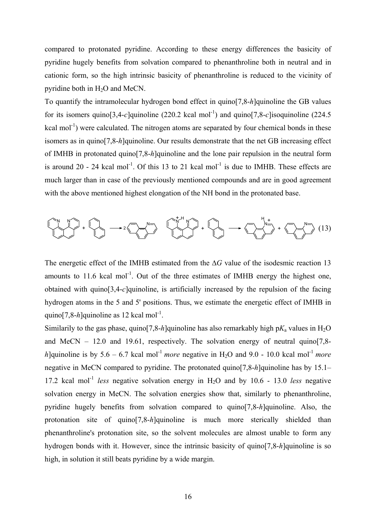compared to protonated pyridine. According to these energy differences the basicity of pyridine hugely benefits from solvation compared to phenanthroline both in neutral and in cationic form, so the high intrinsic basicity of phenanthroline is reduced to the vicinity of pyridine both in H<sub>2</sub>O and MeCN.

To quantify the intramolecular hydrogen bond effect in quino[7,8-*h*]quinoline the GB values for its isomers quino[3,4-*c*]quinoline (220.2 kcal mol<sup>-1</sup>) and quino[7,8-*c*]isoquinoline (224.5) kcal mol<sup>-1</sup>) were calculated. The nitrogen atoms are separated by four chemical bonds in these isomers as in quino[7,8-*h*]quinoline. Our results demonstrate that the net GB increasing effect of IMHB in protonated quino[7,8-*h*]quinoline and the lone pair repulsion in the neutral form is around 20 - 24 kcal mol<sup>-1</sup>. Of this 13 to 21 kcal mol<sup>-1</sup> is due to IMHB. These effects are much larger than in case of the previously mentioned compounds and are in good agreement with the above mentioned highest elongation of the NH bond in the protonated base.



The energetic effect of the IMHB estimated from the ∆*G* value of the isodesmic reaction 13 amounts to  $11.6$  kcal mol<sup>-1</sup>. Out of the three estimates of IMHB energy the highest one, obtained with quino[3,4-*c*]quinoline, is artificially increased by the repulsion of the facing hydrogen atoms in the 5 and 5' positions. Thus, we estimate the energetic effect of IMHB in quino $[7.8-h]$ quinoline as 12 kcal mol<sup>-1</sup>.

Similarily to the gas phase, quino[7,8-*h*]quinoline has also remarkably high  $pK_a$  values in H<sub>2</sub>O and MeCN – 12.0 and 19.61, respectively. The solvation energy of neutral quino[7,8 *h*]quinoline is by 5.6 – 6.7 kcal mol<sup>-1</sup> more negative in H<sub>2</sub>O and 9.0 - 10.0 kcal mol<sup>-1</sup> more negative in MeCN compared to pyridine. The protonated quino[7,8-*h*]quinoline has by 15.1– 17.2 kcal mol-1 *less* negative solvation energy in H2O and by 10.6 - 13.0 *less* negative solvation energy in MeCN. The solvation energies show that, similarly to phenanthroline, pyridine hugely benefits from solvation compared to quino[7,8-*h*]quinoline. Also, the protonation site of quino[7,8-*h*]quinoline is much more sterically shielded than phenanthroline's protonation site, so the solvent molecules are almost unable to form any hydrogen bonds with it. However, since the intrinsic basicity of quino[7,8-*h*]quinoline is so high, in solution it still beats pyridine by a wide margin.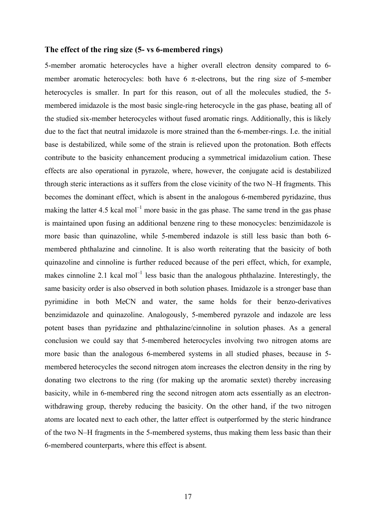## **The effect of the ring size (5- vs 6-membered rings)**

5-member aromatic heterocycles have a higher overall electron density compared to 6 member aromatic heterocycles: both have  $6 \pi$ -electrons, but the ring size of 5-member heterocycles is smaller. In part for this reason, out of all the molecules studied, the 5 membered imidazole is the most basic single-ring heterocycle in the gas phase, beating all of the studied six-member heterocycles without fused aromatic rings. Additionally, this is likely due to the fact that neutral imidazole is more strained than the 6-member-rings. I.e. the initial base is destabilized, while some of the strain is relieved upon the protonation. Both effects contribute to the basicity enhancement producing a symmetrical imidazolium cation. These effects are also operational in pyrazole, where, however, the conjugate acid is destabilized through steric interactions as it suffers from the close vicinity of the two N–H fragments. This becomes the dominant effect, which is absent in the analogous 6-membered pyridazine, thus making the latter 4.5 kcal mol<sup>-1</sup> more basic in the gas phase. The same trend in the gas phase is maintained upon fusing an additional benzene ring to these monocycles: benzimidazole is more basic than quinazoline, while 5-membered indazole is still less basic than both 6 membered phthalazine and cinnoline. It is also worth reiterating that the basicity of both quinazoline and cinnoline is further reduced because of the peri effect, which, for example, makes cinnoline 2.1 kcal mol<sup>-1</sup> less basic than the analogous phthalazine. Interestingly, the same basicity order is also observed in both solution phases. Imidazole is a stronger base than pyrimidine in both MeCN and water, the same holds for their benzo-derivatives benzimidazole and quinazoline. Analogously, 5-membered pyrazole and indazole are less potent bases than pyridazine and phthalazine/cinnoline in solution phases. As a general conclusion we could say that 5-membered heterocycles involving two nitrogen atoms are more basic than the analogous 6-membered systems in all studied phases, because in 5 membered heterocycles the second nitrogen atom increases the electron density in the ring by donating two electrons to the ring (for making up the aromatic sextet) thereby increasing basicity, while in 6-membered ring the second nitrogen atom acts essentially as an electronwithdrawing group, thereby reducing the basicity. On the other hand, if the two nitrogen atoms are located next to each other, the latter effect is outperformed by the steric hindrance of the two N–H fragments in the 5-membered systems, thus making them less basic than their 6-membered counterparts, where this effect is absent.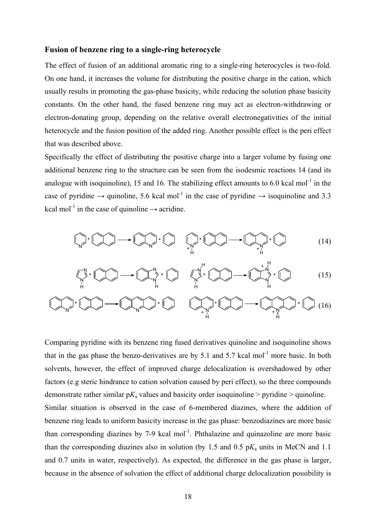## **Fusion of benzene ring to a single-ring heterocycle**

The effect of fusion of an additional aromatic ring to a single-ring heterocycles is two-fold. On one hand, it increases the volume for distributing the positive charge in the cation, which usually results in promoting the gas-phase basicity, while reducing the solution phase basicity constants. On the other hand, the fused benzene ring may act as electron-withdrawing or electron-donating group, depending on the relative overall electronegativities of the initial heterocycle and the fusion position of the added ring. Another possible effect is the peri effect that was described above.

Specifically the effect of distributing the positive charge into a larger volume by fusing one additional benzene ring to the structure can be seen from the isodesmic reactions 14 (and its analogue with isoquinoline), 15 and 16. The stabilizing effect amounts to 6.0 kcal mol<sup>-1</sup> in the case of pyridine  $\rightarrow$  quinoline, 5.6 kcal mol<sup>-1</sup> in the case of pyridine  $\rightarrow$  isoquinoline and 3.3 kcal mol<sup>-1</sup> in the case of quinoline  $\rightarrow$  acridine.

$$
\bigcap_{n=1}^{n} f \left(\bigcap_{i=1}^{n} \cdots \bigcap_{i=1}^{n} f \left(\bigcap_{i=1}^{n} f \left(\bigcap_{i=1}^{n} f \left(\bigcap_{i=1}^{n} f \left(\bigcap_{i=1}^{n} f \left(\bigcap_{i=1}^{n} f \left(\bigcup_{i=1}^{n} f \left(\bigcup_{i=1}^{n} f \left(\bigcup_{i=1}^{n} f \left(\bigcup_{i=1}^{n} f \left(\bigcup_{i=1}^{n} f \left(\bigcup_{i=1}^{n} f \left(\bigcup_{i=1}^{n} f \left(\bigcup_{i=1}^{n} f \left(\bigcup_{i=1}^{n} f \left(\bigcup_{i=1}^{n} f \left(\bigcup_{i=1}^{n} f \left(\bigcup_{i=1}^{n} f \left(\bigcup_{i=1}^{n} f \left(\bigcup_{i=1}^{n} f \left(\bigcup_{i=1}^{n} f \left(\bigcup_{i=1}^{n} f \left(\bigcup_{i=1}^{n} f \left(\bigcup_{i=1}^{n} f \left(\bigcup_{i=1}^{n} f \left(\bigcup_{i=1}^{n} f \left(\bigcup_{i=1}^{n} f \left(\bigcup_{i=1}^{n} f \left(\bigcup_{i=1}^{n} f \left(\bigcup_{i=1}^{n} f \left(\bigcup_{i=1}^{n} f \left(\bigcup_{i=1}^{n} f \left(\bigcup_{i=1}^{n} f \left(\bigcup_{i=1}^{n} f \left(\bigcup_{i=1}^{n} f \left(\bigcup_{i=1}^{n} f \left(\bigcup_{i=1}^{n} f \left(\bigcup_{i=1}^{n} f \left(\bigcup_{i=1}^{n} f \left(\bigcup_{i=1}^{n} f \left(\bigcup_{i=1}^{n} f \left(\bigcup_{i=1}^{n} f \left(\bigcup_{i=1}^{n} f \left(\bigcup_{i=1}^{n} f \left(\bigcup_{i=1}^{n} f \left(\bigcup_{i=1}^{n} f \left(\bigcup_{i=1}^{n} f \left(\bigcup_{i=1}^{n} f \left(\bigcup_{i=1}^{n} f \left(\bigcup_{i=1}^{n} f \left(\bigcup_{i=1}^{n} f \left(\bigcup_{i=1}^{n} f \left(\bigcup_{
$$

$$
\left(\bigvee_{n=1}^{N}+\bigotimes_{i=1}^{N}\right)\longrightarrow\left(\bigvee_{n=1}^{N}\right)^{*}\left(\bigotimes_{i=1}^{N}\right)\longrightarrow\left(\bigvee_{n=1}^{N}\right)^{*}\left(\bigvee_{i=1}^{N}\right)\longrightarrow\left(\bigvee_{n=1}^{N}\right)^{*}\left(\bigvee_{i=1}^{N}\right)\tag{15}
$$

$$
\bigcirc \text{Hom}(A) \longrightarrow \bigcirc \text{Hom}(A) \longrightarrow \bigcirc \text{Hom}(A) \longrightarrow \bigcirc \text{Hom}(A) \longrightarrow \bigcirc \text{Hom}(A) \longrightarrow \bigcirc \text{Hom}(A) \longrightarrow \bigcirc \text{Hom}(A) \longrightarrow \bigcirc \text{Hom}(A) \longrightarrow \bigcirc \text{Hom}(A) \longrightarrow \bigcirc \text{Hom}(A) \longrightarrow \bigcirc \text{Hom}(A) \longrightarrow \bigcirc \text{Hom}(A) \longrightarrow \bigcirc \text{Hom}(A) \longrightarrow \bigcirc \text{Hom}(A) \longrightarrow \bigcirc \text{Hom}(A) \longrightarrow \bigcirc \text{Hom}(A) \longrightarrow \bigcirc \text{Hom}(A) \longrightarrow \bigcirc \text{Hom}(A) \longrightarrow \bigcirc \text{Hom}(A) \longrightarrow \bigcirc \text{Hom}(A) \longrightarrow \bigcirc \text{Hom}(A) \longrightarrow \bigcirc \text{Hom}(A) \longrightarrow \bigcirc \text{Hom}(A) \longrightarrow \bigcirc \text{Hom}(A) \longrightarrow \bigcirc \text{Hom}(A) \longrightarrow \bigcirc \text{Hom}(A) \longrightarrow \bigcirc \text{Hom}(A) \longrightarrow \bigcirc \text{Hom}(A) \longrightarrow \bigcirc \text{Hom}(A) \longrightarrow \bigcirc \text{Hom}(A) \longrightarrow \bigcirc \text{Hom}(A) \longrightarrow \bigcirc \text{Hom}(A) \longrightarrow \bigcirc \text{Hom}(A) \longrightarrow \bigcirc \text{Hom}(A) \longrightarrow \bigcirc \text{Hom}(A) \longrightarrow \bigcirc \text{Hom}(A) \longrightarrow \bigcirc \text{Hom}(A) \longrightarrow \bigcirc \text{Hom}(A) \longrightarrow \bigcirc \text{Hom}(A) \longrightarrow \bigcirc \text{Hom}(A) \longrightarrow \bigcirc \text{Hom}(A) \longrightarrow \bigcirc \text{Hom}(A) \longrightarrow \bigcirc \text{Hom}(A) \longrightarrow \bigcirc \text{Hom}(A) \longrightarrow \bigcirc \text{Hom}(A) \longrightarrow \bigcirc \text{Hom}(A) \longrightarrow \bigcirc \text{Hom}(A) \longrightarrow \bigcirc \text{Hom}(A) \longrightarrow \bigcirc \text{Hom}(A) \longrightarrow \bigcirc \text{Hom}(A) \longrightarrow \bigcirc \text{Hom}(A) \longrightarrow \bigcirc \text{Hom}(A) \longrightarrow \bigcirc \text{Hom}(A) \longrightarrow \bigcirc \text{Hom}(A) \longrightarrow \bigcirc \text{Hom}(A) \longrightarrow \bigcirc \text{Hom}(A) \longrightarrow \bigcirc \text{Hom}(A) \longrightarrow \bigcirc \text{Hom}(A) \longrightarrow \bigcirc \text{Hom}(A) \longrightarrow \bigcirc \text{Hom}(A) \longrightarrow \bigcirc \text{Hom}(A) \longrightarrow \bigcirc \text{Hom}(A) \longrightarrow \bigcirc \text{Hom}(A) \longrightarrow \bigcirc \
$$

Comparing pyridine with its benzene ring fused derivatives quinoline and isoquinoline shows that in the gas phase the benzo-derivatives are by 5.1 and 5.7 kcal mol<sup>-1</sup> more basic. In both solvents, however, the effect of improved charge delocalization is overshadowed by other factors (e.g steric hindrance to cation solvation caused by peri effect), so the three compounds demonstrate rather similar  $pK_a$  values and basicity order isoquinoline > pyridine > quinoline. Similar situation is observed in the case of 6-membered diazines, where the addition of benzene ring leads to uniform basicity increase in the gas phase: benzodiazines are more basic than corresponding diazines by 7-9 kcal mol $^{-1}$ . Phthalazine and quinazoline are more basic than the corresponding diazines also in solution (by 1.5 and 0.5  $pK_a$  units in MeCN and 1.1 and 0.7 units in water, respectively). As expected, the difference in the gas phase is larger, because in the absence of solvation the effect of additional charge delocalization possibility is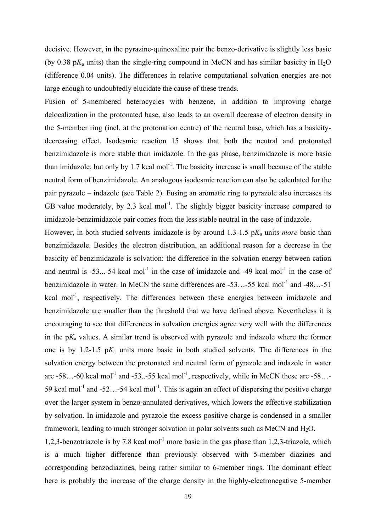decisive. However, in the pyrazine-quinoxaline pair the benzo-derivative is slightly less basic (by 0.38  $pK_a$  units) than the single-ring compound in MeCN and has similar basicity in H<sub>2</sub>O (difference 0.04 units). The differences in relative computational solvation energies are not large enough to undoubtedly elucidate the cause of these trends.

Fusion of 5-membered heterocycles with benzene, in addition to improving charge delocalization in the protonated base, also leads to an overall decrease of electron density in the 5-member ring (incl. at the protonation centre) of the neutral base, which has a basicitydecreasing effect. Isodesmic reaction 15 shows that both the neutral and protonated benzimidazole is more stable than imidazole. In the gas phase, benzimidazole is more basic than imidazole, but only by  $1.7$  kcal mol<sup>-1</sup>. The basicity increase is small because of the stable neutral form of benzimidazole. An analogous isodesmic reaction can also be calculated for the pair pyrazole – indazole (see Table 2). Fusing an aromatic ring to pyrazole also increases its GB value moderately, by 2.3 kcal mol<sup>-1</sup>. The slightly bigger basicity increase compared to imidazole-benzimidazole pair comes from the less stable neutral in the case of indazole.

However, in both studied solvents imidazole is by around 1.3-1.5  $pK_a$  units *more* basic than benzimidazole. Besides the electron distribution, an additional reason for a decrease in the basicity of benzimidazole is solvation: the difference in the solvation energy between cation and neutral is  $-53...-54$  kcal mol<sup>-1</sup> in the case of imidazole and  $-49$  kcal mol<sup>-1</sup> in the case of benzimidazole in water. In MeCN the same differences are -53…-55 kcal mol<sup>-1</sup> and -48…-51 kcal mol<sup>-1</sup>, respectively. The differences between these energies between imidazole and benzimidazole are smaller than the threshold that we have defined above. Nevertheless it is encouraging to see that differences in solvation energies agree very well with the differences in the  $pK_a$  values. A similar trend is observed with pyrazole and indazole where the former one is by 1.2-1.5 p*K*a units more basic in both studied solvents. The differences in the solvation energy between the protonated and neutral form of pyrazole and indazole in water are  $-58...$ -60 kcal mol<sup>-1</sup> and  $-53...$ -55 kcal mol<sup>-1</sup>, respectively, while in MeCN these are  $-58...$ -59 kcal mol<sup>-1</sup> and -52…-54 kcal mol<sup>-1</sup>. This is again an effect of dispersing the positive charge over the larger system in benzo-annulated derivatives, which lowers the effective stabilization by solvation. In imidazole and pyrazole the excess positive charge is condensed in a smaller framework, leading to much stronger solvation in polar solvents such as MeCN and H<sub>2</sub>O.

1,2,3-benzotriazole is by 7.8 kcal mol<sup>-1</sup> more basic in the gas phase than 1,2,3-triazole, which is a much higher difference than previously observed with 5-member diazines and corresponding benzodiazines, being rather similar to 6-member rings. The dominant effect here is probably the increase of the charge density in the highly-electronegative 5-member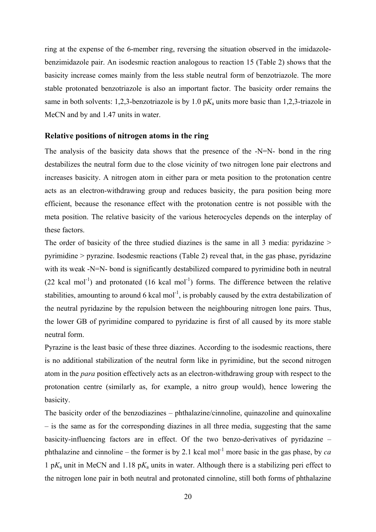ring at the expense of the 6-member ring, reversing the situation observed in the imidazolebenzimidazole pair. An isodesmic reaction analogous to reaction 15 (Table 2) shows that the basicity increase comes mainly from the less stable neutral form of benzotriazole. The more stable protonated benzotriazole is also an important factor. The basicity order remains the same in both solvents: 1,2,3-benzotriazole is by 1.0 p*K*a units more basic than 1,2,3-triazole in MeCN and by and 1.47 units in water.

### **Relative positions of nitrogen atoms in the ring**

The analysis of the basicity data shows that the presence of the -N=N- bond in the ring destabilizes the neutral form due to the close vicinity of two nitrogen lone pair electrons and increases basicity. A nitrogen atom in either para or meta position to the protonation centre acts as an electron-withdrawing group and reduces basicity, the para position being more efficient, because the resonance effect with the protonation centre is not possible with the meta position. The relative basicity of the various heterocycles depends on the interplay of these factors.

The order of basicity of the three studied diazines is the same in all 3 media: pyridazine > pyrimidine > pyrazine. Isodesmic reactions (Table 2) reveal that, in the gas phase, pyridazine with its weak -N=N- bond is significantly destabilized compared to pyrimidine both in neutral (22 kcal mol<sup>-1</sup>) and protonated (16 kcal mol<sup>-1</sup>) forms. The difference between the relative stabilities, amounting to around 6 kcal mol<sup>-1</sup>, is probably caused by the extra destabilization of the neutral pyridazine by the repulsion between the neighbouring nitrogen lone pairs. Thus, the lower GB of pyrimidine compared to pyridazine is first of all caused by its more stable neutral form.

Pyrazine is the least basic of these three diazines. According to the isodesmic reactions, there is no additional stabilization of the neutral form like in pyrimidine, but the second nitrogen atom in the *para* position effectively acts as an electron-withdrawing group with respect to the protonation centre (similarly as, for example, a nitro group would), hence lowering the basicity.

The basicity order of the benzodiazines – phthalazine/cinnoline, quinazoline and quinoxaline – is the same as for the corresponding diazines in all three media, suggesting that the same basicity-influencing factors are in effect. Of the two benzo-derivatives of pyridazine – phthalazine and cinnoline – the former is by 2.1 kcal mol<sup>-1</sup> more basic in the gas phase, by *ca* 1 p*K*a unit in MeCN and 1.18 p*K*a units in water. Although there is a stabilizing peri effect to the nitrogen lone pair in both neutral and protonated cinnoline, still both forms of phthalazine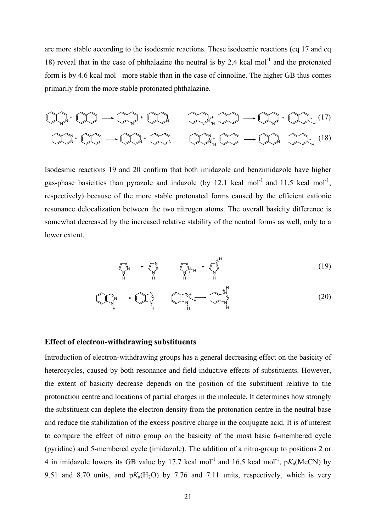are more stable according to the isodesmic reactions. These isodesmic reactions (eq 17 and eq 18) reveal that in the case of phthalazine the neutral is by 2.4 kcal mol<sup>-1</sup> and the protonated form is by 4.6 kcal mol<sup>-1</sup> more stable than in the case of cinnoline. The higher GB thus comes primarily from the more stable protonated phthalazine.



Isodesmic reactions 19 and 20 confirm that both imidazole and benzimidazole have higher gas-phase basicities than pyrazole and indazole (by 12.1 kcal mol<sup>-1</sup> and 11.5 kcal mol<sup>-1</sup>, respectively) because of the more stable protonated forms caused by the efficient cationic resonance delocalization between the two nitrogen atoms. The overall basicity difference is somewhat decreased by the increased relative stability of the neutral forms as well, only to a lower extent.

$$
\underbrace{\text{max}_{\substack{\mathbf{N} \\ \mathbf{N} \\ \mathbf{N}}} \longrightarrow \text{max}_{\substack{\mathbf{N} \\ \mathbf{N} \\ \mathbf{N} \\ \mathbf{N} \\ \mathbf{N} \\ \mathbf{N} \\ \mathbf{N} \\ \mathbf{N} \\ \mathbf{N} \\ \mathbf{N} \\ \mathbf{N} \\ \mathbf{N} \\ \mathbf{N} \\ \mathbf{N} \end{bmatrix}}_{\mathbf{N}} \tag{19}
$$

$$
\text{Cov}_{\underset{H}{\uparrow}}^{\uparrow} \longrightarrow \text{Cov}_{\underset{H}{\uparrow}}^{\uparrow} \qquad \text{Cov}_{\underset{H}{\uparrow}}^{\uparrow\uparrow} \longrightarrow \text{Cov}_{\underset{H}{\uparrow}}^{\uparrow\uparrow} \qquad (20)
$$

#### **Effect of electron-withdrawing substituents**

Introduction of electron-withdrawing groups has a general decreasing effect on the basicity of heterocycles, caused by both resonance and field-inductive effects of substituents. However, the extent of basicity decrease depends on the position of the substituent relative to the protonation centre and locations of partial charges in the molecule. It determines how strongly the substituent can deplete the electron density from the protonation centre in the neutral base and reduce the stabilization of the excess positive charge in the conjugate acid. It is of interest to compare the effect of nitro group on the basicity of the most basic 6-membered cycle (pyridine) and 5-membered cycle (imidazole). The addition of a nitro-group to positions 2 or 4 in imidazole lowers its GB value by 17.7 kcal mol<sup>-1</sup> and 16.5 kcal mol<sup>-1</sup>,  $pK_a(MeCN)$  by 9.51 and 8.70 units, and  $pK_a(H_2O)$  by 7.76 and 7.11 units, respectively, which is very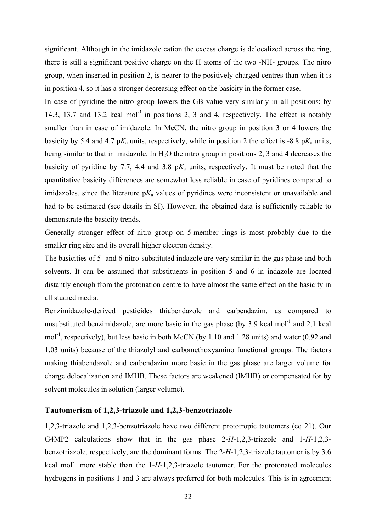significant. Although in the imidazole cation the excess charge is delocalized across the ring, there is still a significant positive charge on the H atoms of the two -NH- groups. The nitro group, when inserted in position 2, is nearer to the positively charged centres than when it is in position 4, so it has a stronger decreasing effect on the basicity in the former case.

In case of pyridine the nitro group lowers the GB value very similarly in all positions: by 14.3, 13.7 and 13.2 kcal mol<sup>-1</sup> in positions 2, 3 and 4, respectively. The effect is notably smaller than in case of imidazole. In MeCN, the nitro group in position 3 or 4 lowers the basicity by 5.4 and 4.7  $pK_a$  units, respectively, while in position 2 the effect is -8.8  $pK_a$  units, being similar to that in imidazole. In  $H_2O$  the nitro group in positions 2, 3 and 4 decreases the basicity of pyridine by 7.7, 4.4 and 3.8  $pK_a$  units, respectively. It must be noted that the quantitative basicity differences are somewhat less reliable in case of pyridines compared to imidazoles, since the literature  $pK_a$  values of pyridines were inconsistent or unavailable and had to be estimated (see details in SI). However, the obtained data is sufficiently reliable to demonstrate the basicity trends.

Generally stronger effect of nitro group on 5-member rings is most probably due to the smaller ring size and its overall higher electron density.

The basicities of 5- and 6-nitro-substituted indazole are very similar in the gas phase and both solvents. It can be assumed that substituents in position 5 and 6 in indazole are located distantly enough from the protonation centre to have almost the same effect on the basicity in all studied media.

Benzimidazole-derived pesticides thiabendazole and carbendazim, as compared to unsubstituted benzimidazole, are more basic in the gas phase (by 3.9 kcal mol<sup>-1</sup> and 2.1 kcal mol<sup>-1</sup>, respectively), but less basic in both MeCN (by 1.10 and 1.28 units) and water (0.92 and 1.03 units) because of the thiazolyl and carbomethoxyamino functional groups. The factors making thiabendazole and carbendazim more basic in the gas phase are larger volume for charge delocalization and IMHB. These factors are weakened (IMHB) or compensated for by solvent molecules in solution (larger volume).

#### **Tautomerism of 1,2,3-triazole and 1,2,3-benzotriazole**

1,2,3-triazole and 1,2,3-benzotriazole have two different prototropic tautomers (eq 21). Our G4MP2 calculations show that in the gas phase 2-*H*-1,2,3-triazole and 1-*H*-1,2,3 benzotriazole, respectively, are the dominant forms. The 2-*H*-1,2,3-triazole tautomer is by 3.6 kcal mol<sup>-1</sup> more stable than the  $1-H-1,2,3$ -triazole tautomer. For the protonated molecules hydrogens in positions 1 and 3 are always preferred for both molecules. This is in agreement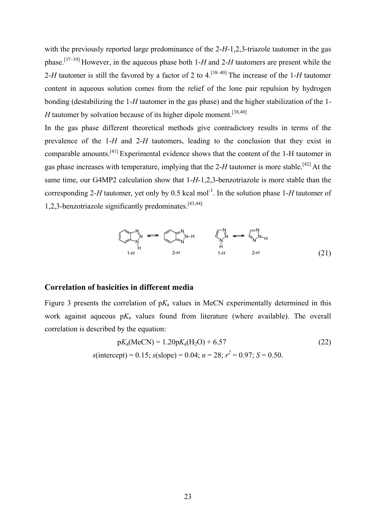with the previously reported large predominance of the 2-*H*-1,2,3-triazole tautomer in the gas phase.[37–39] However, in the aqueous phase both 1-*H* and 2-*H* tautomers are present while the 2-*H* tautomer is still the favored by a factor of 2 to 4.[38–40] The increase of the 1-*H* tautomer content in aqueous solution comes from the relief of the lone pair repulsion by hydrogen bonding (destabilizing the 1-*H* tautomer in the gas phase) and the higher stabilization of the 1- *H* tautomer by solvation because of its higher dipole moment.<sup>[38,40]</sup>

In the gas phase different theoretical methods give contradictory results in terms of the prevalence of the 1-*H* and 2-*H* tautomers, leading to the conclusion that they exist in comparable amounts.[41] Experimental evidence shows that the content of the 1-H tautomer in gas phase increases with temperature, implying that the 2-*H* tautomer is more stable.[42] At the same time, our G4MP2 calculation show that 1-*H*-1,2,3-benzotriazole is more stable than the corresponding 2-*H* tautomer, yet only by 0.5 kcal mol<sup>-1</sup>. In the solution phase 1-*H* tautomer of 1,2,3-benzotriazole significantly predominates.[43,44]



#### **Correlation of basicities in different media**

Figure 3 presents the correlation of  $pK_a$  values in MeCN experimentally determined in this work against aqueous  $pK_a$  values found from literature (where available). The overall correlation is described by the equation:

$$
pK_a(\text{MeCN}) = 1.20pK_a(H_2O) + 6.57
$$
\n
$$
s(\text{intercept}) = 0.15; s(\text{slope}) = 0.04; n = 28; r^2 = 0.97; S = 0.50.
$$
\n(22)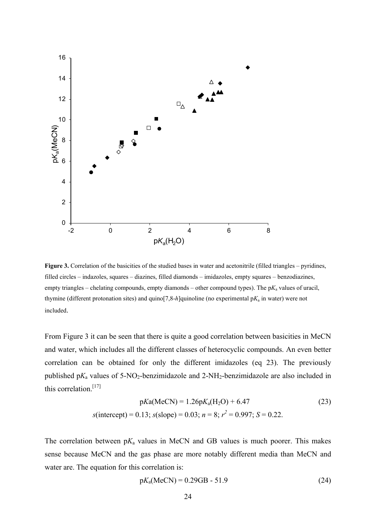

Figure 3. Correlation of the basicities of the studied bases in water and acetonitrile (filled triangles – pyridines, filled circles – indazoles, squares – diazines, filled diamonds – imidazoles, empty squares – benzodiazines, empty triangles – chelating compounds, empty diamonds – other compound types). The  $pK_a$  values of uracil, thymine (different protonation sites) and quino[7,8-*h*]quinoline (no experimental p*K*a in water) were not included.

From Figure 3 it can be seen that there is quite a good correlation between basicities in MeCN and water, which includes all the different classes of heterocyclic compounds. An even better correlation can be obtained for only the different imidazoles (eq 23). The previously published pK<sub>a</sub> values of 5-NO<sub>2</sub>-benzimidazole and 2-NH<sub>2</sub>-benzimidazole are also included in this correlation.<sup>[17]</sup>

$$
pKa(MeCN) = 1.26pK_a(H_2O) + 6.47
$$
\n
$$
s(interept) = 0.13; s(slope) = 0.03; n = 8; r2 = 0.997; S = 0.22.
$$
\n(23)

The correlation between  $pK_a$  values in MeCN and GB values is much poorer. This makes sense because MeCN and the gas phase are more notably different media than MeCN and water are. The equation for this correlation is:

$$
pK_a(MeCN) = 0.29GB - 51.9
$$
 (24)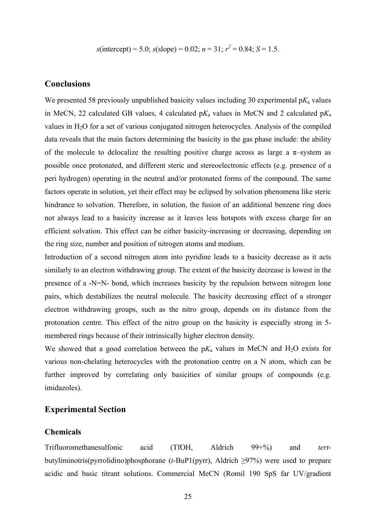$$
s
$$
(intercept) = 5.0;  $s$ (slope) = 0.02;  $n$  = 31;  $r^2$  = 0.84;  $S$  = 1.5.

## **Conclusions**

We presented 58 previously unpublished basicity values including 30 experimental  $pK_a$  values in MeCN, 22 calculated GB values, 4 calculated  $pK_a$  values in MeCN and 2 calculated  $pK_a$ values in H2O for a set of various conjugated nitrogen heterocycles. Analysis of the compiled data reveals that the main factors determining the basicity in the gas phase include: the ability of the molecule to delocalize the resulting positive charge across as large a  $\pi$ -system as possible once protonated, and different steric and stereoelectronic effects (e.g. presence of a peri hydrogen) operating in the neutral and/or protonated forms of the compound. The same factors operate in solution, yet their effect may be eclipsed by solvation phenomena like steric hindrance to solvation. Therefore, in solution, the fusion of an additional benzene ring does not always lead to a basicity increase as it leaves less hotspots with excess charge for an efficient solvation. This effect can be either basicity-increasing or decreasing, depending on the ring size, number and position of nitrogen atoms and medium.

Introduction of a second nitrogen atom into pyridine leads to a basicity decrease as it acts similarly to an electron withdrawing group. The extent of the basicity decrease is lowest in the presence of a -N=N- bond, which increases basicity by the repulsion between nitrogen lone pairs, which destabilizes the neutral molecule. The basicity decreasing effect of a stronger electron withdrawing groups, such as the nitro group, depends on its distance from the protonation centre. This effect of the nitro group on the basicity is especially strong in 5 membered rings because of their intrinsically higher electron density.

We showed that a good correlation between the  $pK_a$  values in MeCN and H<sub>2</sub>O exists for various non-chelating heterocycles with the protonation centre on a N atom, which can be further improved by correlating only basicities of similar groups of compounds (e.g. imidazoles).

# **Experimental Section**

## **Chemicals**

Trifluoromethanesulfonic acid (TfOH, Aldrich 99+%) and *tert*butyliminotris(pyrrolidino)phosphorane (*t*-BuP1(pyrr), Aldrich ≥97%) were used to prepare acidic and basic titrant solutions. Commercial MeCN (Romil 190 SpS far UV/gradient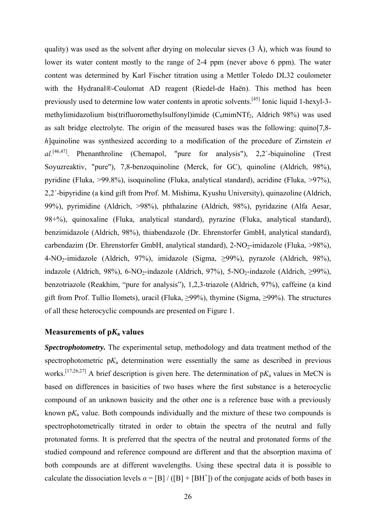quality) was used as the solvent after drying on molecular sieves  $(3 \text{ Å})$ , which was found to lower its water content mostly to the range of 2-4 ppm (never above 6 ppm). The water content was determined by Karl Fischer titration using a Mettler Toledo DL32 coulometer with the Hydranal®-Coulomat AD reagent (Riedel-de Haën). This method has been previously used to determine low water contents in aprotic solvents.[45] Ionic liquid 1-hexyl-3 methylimidazolium bis(trifluoromethylsulfonyl)imide ( $C_6$ mimNTf<sub>2</sub>, Aldrich 98%) was used as salt bridge electrolyte. The origin of the measured bases was the following: quino[7,8 *h*]quinoline was synthesized according to a modification of the procedure of Zirnstein *et al.*[46,47]. Phenanthroline (Chemapol, "pure for analysis"), 2,2´-biquinoline (Trest Soyuzreaktiv, "pure"), 7,8-benzoquinoline (Merck, for GC), quinoline (Aldrich, 98%), pyridine (Fluka, >99.8%), isoquinoline (Fluka, analytical standard), acridine (Fluka, >97%), 2,2´-bipyridine (a kind gift from Prof. M. Mishima, Kyushu University), quinazoline (Aldrich, 99%), pyrimidine (Aldrich, >98%), phthalazine (Aldrich, 98%), pyridazine (Alfa Aesar, 98+%), quinoxaline (Fluka, analytical standard), pyrazine (Fluka, analytical standard), benzimidazole (Aldrich, 98%), thiabendazole (Dr. Ehrenstorfer GmbH, analytical standard), carbendazim (Dr. Ehrenstorfer GmbH, analytical standard),  $2\text{-NO}_2$ -imidazole (Fluka, >98%), 4-NO2-imidazole (Aldrich, 97%), imidazole (Sigma, ≥99%), pyrazole (Aldrich, 98%), indazole (Aldrich, 98%), 6-NO<sub>2</sub>-indazole (Aldrich, 97%), 5-NO<sub>2</sub>-indazole (Aldrich,  $\geq$ 99%), benzotriazole (Reakhim, "pure for analysis"), 1,2,3-triazole (Aldrich, 97%), caffeine (a kind gift from Prof. Tullio Ilomets), uracil (Fluka,  $\geq$ 99%), thymine (Sigma,  $\geq$ 99%). The structures of all these heterocyclic compounds are presented on Figure 1.

# **Measurements of p***K***a values**

*Spectrophotometry.* The experimental setup, methodology and data treatment method of the spectrophotometric  $pK_a$  determination were essentially the same as described in previous works.[17,26,27] A brief description is given here. The determination of p*K*a values in MeCN is based on differences in basicities of two bases where the first substance is a heterocyclic compound of an unknown basicity and the other one is a reference base with a previously known  $pK_a$  value. Both compounds individually and the mixture of these two compounds is spectrophotometrically titrated in order to obtain the spectra of the neutral and fully protonated forms. It is preferred that the spectra of the neutral and protonated forms of the studied compound and reference compound are different and that the absorption maxima of both compounds are at different wavelengths. Using these spectral data it is possible to calculate the dissociation levels  $\alpha = [B] / ([B] + [BH<sup>+</sup>])$  of the conjugate acids of both bases in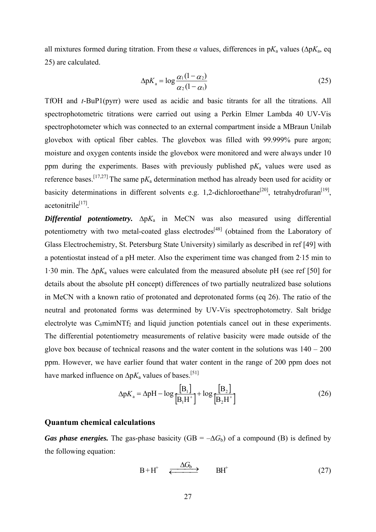all mixtures formed during titration. From these  $\alpha$  values, differences in p $K_a$  values ( $\Delta pK_a$ , eq 25) are calculated.

$$
\Delta pK_a = \log \frac{\alpha_1 (1 - \alpha_2)}{\alpha_2 (1 - \alpha_1)}
$$
\n(25)

TfOH and *t*-BuP1(pyrr) were used as acidic and basic titrants for all the titrations. All spectrophotometric titrations were carried out using a Perkin Elmer Lambda 40 UV-Vis spectrophotometer which was connected to an external compartment inside a MBraun Unilab glovebox with optical fiber cables. The glovebox was filled with 99.999% pure argon; moisture and oxygen contents inside the glovebox were monitored and were always under 10 ppm during the experiments. Bases with previously published  $pK_a$  values were used as reference bases.[17,27] The same p*K*a determination method has already been used for acidity or basicity determinations in different solvents e.g. 1,2-dichloroethane<sup>[20]</sup>, tetrahydrofuran<sup>[19]</sup>, acetonitrile $^{[17]}$ 

*Differential potentiometry.*  $\Delta pK_a$  in MeCN was also measured using differential potentiometry with two metal-coated glass electrodes<sup>[48]</sup> (obtained from the Laboratory of Glass Electrochemistry, St. Petersburg State University) similarly as described in ref [49] with a potentiostat instead of a pH meter. Also the experiment time was changed from 2·15 min to 1·30 min. The ∆p*K*a values were calculated from the measured absolute pH (see ref [50] for details about the absolute pH concept) differences of two partially neutralized base solutions in MeCN with a known ratio of protonated and deprotonated forms (eq 26). The ratio of the neutral and protonated forms was determined by UV-Vis spectrophotometry. Salt bridge electrolyte was  $C_6$ mimNTf<sub>2</sub> and liquid junction potentials cancel out in these experiments. The differential potentiometry measurements of relative basicity were made outside of the glove box because of technical reasons and the water content in the solutions was  $140 - 200$ ppm. However, we have earlier found that water content in the range of 200 ppm does not have marked influence on  $\Delta pK_a$  values of bases.<sup>[51]</sup>

$$
\Delta pK_a = \Delta pH - \log \frac{[B_1]}{[B_1H^+]} + \log \frac{[B_2]}{[B_2H^+]} \tag{26}
$$

## **Quantum chemical calculations**

*Gas phase energies.* The gas-phase basicity ( $GB = -\Delta G_b$ ) of a compound (B) is defined by the following equation:

$$
B + H^{+} \quad \xleftarrow{\Delta G_{b}} \quad BH^{+} \tag{27}
$$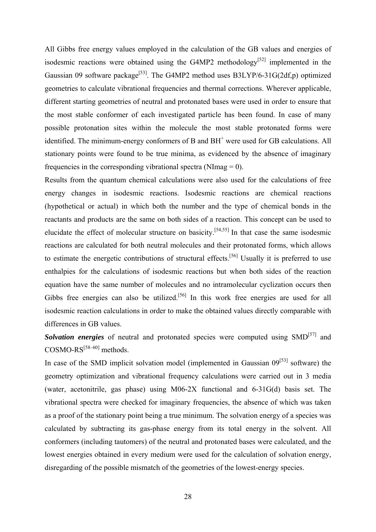All Gibbs free energy values employed in the calculation of the GB values and energies of isodesmic reactions were obtained using the G4MP2 methodology<sup>[52]</sup> implemented in the Gaussian 09 software package<sup>[53]</sup>. The G4MP2 method uses B3LYP/6-31G(2df,p) optimized geometries to calculate vibrational frequencies and thermal corrections. Wherever applicable, different starting geometries of neutral and protonated bases were used in order to ensure that the most stable conformer of each investigated particle has been found. In case of many possible protonation sites within the molecule the most stable protonated forms were identified. The minimum-energy conformers of B and BH<sup>+</sup> were used for GB calculations. All stationary points were found to be true minima, as evidenced by the absence of imaginary frequencies in the corresponding vibrational spectra (NImag  $= 0$ ).

Results from the quantum chemical calculations were also used for the calculations of free energy changes in isodesmic reactions. Isodesmic reactions are chemical reactions (hypothetical or actual) in which both the number and the type of chemical bonds in the reactants and products are the same on both sides of a reaction. This concept can be used to elucidate the effect of molecular structure on basicity.[54,55] In that case the same isodesmic reactions are calculated for both neutral molecules and their protonated forms, which allows to estimate the energetic contributions of structural effects.<sup>[56]</sup> Usually it is preferred to use enthalpies for the calculations of isodesmic reactions but when both sides of the reaction equation have the same number of molecules and no intramolecular cyclization occurs then Gibbs free energies can also be utilized.<sup>[56]</sup> In this work free energies are used for all isodesmic reaction calculations in order to make the obtained values directly comparable with differences in GB values.

*Solvation energies* of neutral and protonated species were computed using SMD<sup>[57]</sup> and  $COSMO-RS^{[58-60]}$  methods.

In case of the SMD implicit solvation model (implemented in Gaussian  $0.9^{[53]}$  software) the geometry optimization and vibrational frequency calculations were carried out in 3 media (water, acetonitrile, gas phase) using M06-2X functional and 6-31G(d) basis set. The vibrational spectra were checked for imaginary frequencies, the absence of which was taken as a proof of the stationary point being a true minimum. The solvation energy of a species was calculated by subtracting its gas-phase energy from its total energy in the solvent. All conformers (including tautomers) of the neutral and protonated bases were calculated, and the lowest energies obtained in every medium were used for the calculation of solvation energy, disregarding of the possible mismatch of the geometries of the lowest-energy species.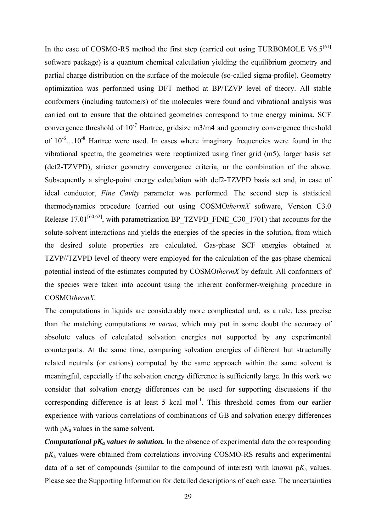In the case of COSMO-RS method the first step (carried out using TURBOMOLE V6.5<sup>[61]</sup> software package) is a quantum chemical calculation yielding the equilibrium geometry and partial charge distribution on the surface of the molecule (so-called sigma-profile). Geometry optimization was performed using DFT method at BP/TZVP level of theory. All stable conformers (including tautomers) of the molecules were found and vibrational analysis was carried out to ensure that the obtained geometries correspond to true energy minima. SCF convergence threshold of  $10^{-7}$  Hartree, gridsize m3/m4 and geometry convergence threshold of  $10^{-6}$ ...10<sup>-8</sup> Hartree were used. In cases where imaginary frequencies were found in the vibrational spectra, the geometries were reoptimized using finer grid (m5), larger basis set (def2-TZVPD), stricter geometry convergence criteria, or the combination of the above. Subsequently a single-point energy calculation with def2-TZVPD basis set and, in case of ideal conductor, *Fine Cavity* parameter was performed. The second step is statistical thermodynamics procedure (carried out using COSMO*thermX* software, Version C3.0 Release 17.01<sup>[60,62]</sup>, with parametrization BP\_TZVPD\_FINE\_C30\_1701) that accounts for the solute-solvent interactions and yields the energies of the species in the solution, from which the desired solute properties are calculated. Gas-phase SCF energies obtained at TZVP//TZVPD level of theory were employed for the calculation of the gas-phase chemical potential instead of the estimates computed by COSMO*thermX* by default. All conformers of the species were taken into account using the inherent conformer-weighing procedure in COSMO*thermX*.

The computations in liquids are considerably more complicated and, as a rule, less precise than the matching computations *in vacuo,* which may put in some doubt the accuracy of absolute values of calculated solvation energies not supported by any experimental counterparts. At the same time, comparing solvation energies of different but structurally related neutrals (or cations) computed by the same approach within the same solvent is meaningful, especially if the solvation energy difference is sufficiently large. In this work we consider that solvation energy differences can be used for supporting discussions if the corresponding difference is at least 5 kcal mol<sup>-1</sup>. This threshold comes from our earlier experience with various correlations of combinations of GB and solvation energy differences with  $pK_a$  values in the same solvent.

*Computational*  $pK_a$  *values in solution.* In the absence of experimental data the corresponding p*K*a values were obtained from correlations involving COSMO-RS results and experimental data of a set of compounds (similar to the compound of interest) with known  $pK_a$  values. Please see the Supporting Information for detailed descriptions of each case. The uncertainties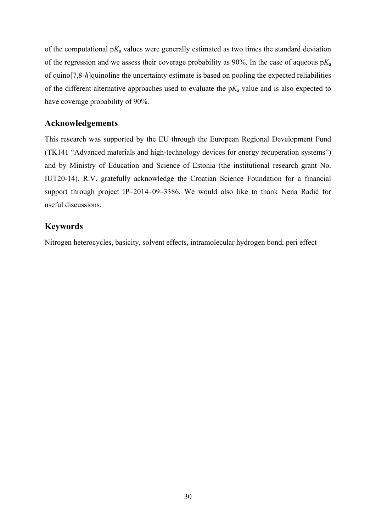of the computational  $pK_a$  values were generally estimated as two times the standard deviation of the regression and we assess their coverage probability as 90%. In the case of aqueous p*K*<sup>a</sup> of quino[7,8-*h*]quinoline the uncertainty estimate is based on pooling the expected reliabilities of the different alternative approaches used to evaluate the  $pK_a$  value and is also expected to have coverage probability of 90%.

# **Acknowledgements**

This research was supported by the EU through the European Regional Development Fund (TK141 "Advanced materials and high-technology devices for energy recuperation systems") and by Ministry of Education and Science of Estonia (the institutional research grant No. IUT20-14). R.V. gratefully acknowledge the Croatian Science Foundation for a financial support through project IP–2014–09–3386. We would also like to thank Nena Radić for useful discussions.

# **Keywords**

Nitrogen heterocycles, basicity, solvent effects, intramolecular hydrogen bond, peri effect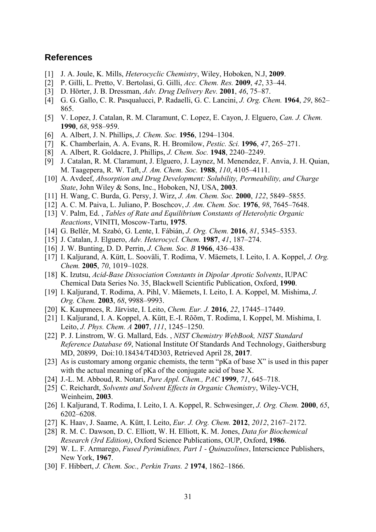# **References**

- [1] J. A. Joule, K. Mills, *Heterocyclic Chemistry*, Wiley, Hoboken, N.J, **2009**.
- [2] P. Gilli, L. Pretto, V. Bertolasi, G. Gilli, *Acc. Chem. Res.* **2009**, *42*, 33–44.
- [3] D. Hörter, J. B. Dressman, *Adv. Drug Delivery Rev.* **2001**, *46*, 75–87.
- [4] G. G. Gallo, C. R. Pasqualucci, P. Radaelli, G. C. Lancini, *J. Org. Chem.* **1964**, *29*, 862– 865.
- [5] V. Lopez, J. Catalan, R. M. Claramunt, C. Lopez, E. Cayon, J. Elguero, *Can. J. Chem.* **1990**, *68*, 958–959.
- [6] A. Albert, J. N. Phillips, *J. Chem. Soc.* **1956**, 1294–1304.
- [7] K. Chamberlain, A. A. Evans, R. H. Bromilow, *Pestic. Sci.* **1996**, *47*, 265–271.
- [8] A. Albert, R. Goldacre, J. Phillips, *J. Chem. Soc.* **1948**, 2240–2249.
- [9] J. Catalan, R. M. Claramunt, J. Elguero, J. Laynez, M. Menendez, F. Anvia, J. H. Quian, M. Taagepera, R. W. Taft, *J. Am. Chem. Soc.* **1988**, *110*, 4105–4111.
- [10] A. Avdeef, *Absorption and Drug Development: Solubility, Permeability, and Charge State*, John Wiley & Sons, Inc., Hoboken, NJ, USA, **2003**.
- [11] H. Wang, C. Burda, G. Persy, J. Wirz, *J. Am. Chem. Soc.* **2000**, *122*, 5849–5855.
- [12] A. C. M. Paiva, L. Juliano, P. Boschcov, *J. Am. Chem. Soc.* **1976**, *98*, 7645–7648.
- [13] V. Palm, Ed. , *Tables of Rate and Equilibrium Constants of Heterolytic Organic Reactions*, VINITI, Moscow-Tartu, **1975**.
- [14] G. Bellér, M. Szabó, G. Lente, I. Fábián, *J. Org. Chem.* **2016**, *81*, 5345–5353.
- [15] J. Catalan, J. Elguero, *Adv. Heterocycl. Chem.* **1987**, *41*, 187–274.
- [16] J. W. Bunting, D. D. Perrin, *J. Chem. Soc. B* **1966**, 436–438.
- [17] I. Kaljurand, A. Kütt, L. Sooväli, T. Rodima, V. Mäemets, I. Leito, I. A. Koppel, *J. Org. Chem.* **2005**, *70*, 1019–1028.
- [18] K. Izutsu, *Acid-Base Dissociation Constants in Dipolar Aprotic Solvents*, IUPAC Chemical Data Series No. 35, Blackwell Scientific Publication, Oxford, **1990**.
- [19] I. Kaljurand, T. Rodima, A. Pihl, V. Mäemets, I. Leito, I. A. Koppel, M. Mishima, *J. Org. Chem.* **2003**, *68*, 9988–9993.
- [20] K. Kaupmees, R. Järviste, I. Leito, *Chem. Eur. J.* **2016**, *22*, 17445–17449.
- [21] I. Kaljurand, I. A. Koppel, A. Kütt, E.-I. Rõõm, T. Rodima, I. Koppel, M. Mishima, I. Leito, *J. Phys. Chem. A* **2007**, *111*, 1245–1250.
- [22] P. J. Linstrom, W. G. Mallard, Eds. , *NIST Chemistry WebBook, NIST Standard Reference Database 69*, National Institute Of Standards And Technology, Gaithersburg MD, 20899, Doi:10.18434/T4D303, Retrieved April 28, **2017**.
- [23] As is customary among organic chemists, the term "pKa of base X" is used in this paper with the actual meaning of pKa of the conjugate acid of base X.
- [24] J.-L. M. Abboud, R. Notari, *Pure Appl. Chem., PAC* **1999**, *71*, 645–718.
- [25] C. Reichardt, *Solvents and Solvent Effects in Organic Chemistry*, Wiley-VCH, Weinheim, **2003**.
- [26] I. Kaljurand, T. Rodima, I. Leito, I. A. Koppel, R. Schwesinger, *J. Org. Chem.* **2000**, *65*, 6202–6208.
- [27] K. Haav, J. Saame, A. Kütt, I. Leito, *Eur. J. Org. Chem.* **2012**, *2012*, 2167–2172.
- [28] R. M. C. Dawson, D. C. Elliott, W. H. Elliott, K. M. Jones, *Data for Biochemical Research (3rd Edition)*, Oxford Science Publications, OUP, Oxford, **1986**.
- [29] W. L. F. Armarego, *Fused Pyrimidines, Part 1 Quinazolines*, Interscience Publishers, New York, **1967**.
- [30] F. Hibbert, *J. Chem. Soc., Perkin Trans. 2* **1974**, 1862–1866.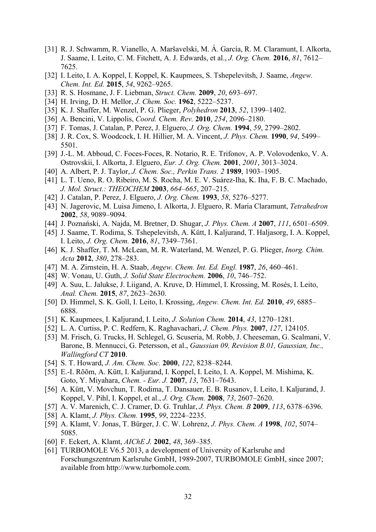- [31] R. J. Schwamm, R. Vianello, A. Maršavelski, M. Á. García, R. M. Claramunt, I. Alkorta, J. Saame, I. Leito, C. M. Fitchett, A. J. Edwards, et al., *J. Org. Chem.* **2016**, *81*, 7612– 7625.
- [32] I. Leito, I. A. Koppel, I. Koppel, K. Kaupmees, S. Tshepelevitsh, J. Saame, *Angew. Chem. Int. Ed.* **2015**, *54*, 9262–9265.
- [33] R. S. Hosmane, J. F. Liebman, *Struct. Chem.* **2009**, *20*, 693–697.
- [34] H. Irving, D. H. Mellor, *J. Chem. Soc.* **1962**, 5222–5237.
- [35] K. J. Shaffer, M. Wenzel, P. G. Plieger, *Polyhedron* **2013**, *52*, 1399–1402.
- [36] A. Bencini, V. Lippolis, *Coord. Chem. Rev.* **2010**, *254*, 2096–2180.
- [37] F. Tomas, J. Catalan, P. Perez, J. Elguero, *J. Org. Chem.* **1994**, *59*, 2799–2802.
- [38] J. R. Cox, S. Woodcock, I. H. Hillier, M. A. Vincent, *J. Phys. Chem.* **1990**, *94*, 5499– 5501.
- [39] J.-L. M. Abboud, C. Foces-Foces, R. Notario, R. E. Trifonov, A. P. Volovodenko, V. A. Ostrovskii, I. Alkorta, J. Elguero, *Eur. J. Org. Chem.* **2001**, *2001*, 3013–3024.
- [40] A. Albert, P. J. Taylor, *J. Chem. Soc., Perkin Trans. 2* **1989**, 1903–1905.
- [41] L. T. Ueno, R. O. Ribeiro, M. S. Rocha, M. E. V. Suárez-Iha, K. Iha, F. B. C. Machado, *J. Mol. Struct.: THEOCHEM* **2003**, *664*–*665*, 207–215.
- [42] J. Catalan, P. Perez, J. Elguero, *J. Org. Chem.* **1993**, *58*, 5276–5277.
- [43] N. Jagerovic, M. Luisa Jimeno, I. Alkorta, J. Elguero, R. Marı́ a Claramunt, *Tetrahedron* **2002**, *58*, 9089–9094.
- [44] J. Poznański, A. Najda, M. Bretner, D. Shugar, *J. Phys. Chem. A* **2007**, *111*, 6501–6509.
- [45] J. Saame, T. Rodima, S. Tshepelevitsh, A. Kütt, I. Kaljurand, T. Haljasorg, I. A. Koppel, I. Leito, *J. Org. Chem.* **2016**, *81*, 7349–7361.
- [46] K. J. Shaffer, T. M. McLean, M. R. Waterland, M. Wenzel, P. G. Plieger, *Inorg. Chim. Acta* **2012**, *380*, 278–283.
- [47] M. A. Zirnstein, H. A. Staab, *Angew. Chem. Int. Ed. Engl.* **1987**, *26*, 460–461.
- [48] W. Vonau, U. Guth, *J. Solid State Electrochem.* **2006**, *10*, 746–752.
- [49] A. Suu, L. Jalukse, J. Liigand, A. Kruve, D. Himmel, I. Krossing, M. Rosés, I. Leito, *Anal. Chem.* **2015**, *87*, 2623–2630.
- [50] D. Himmel, S. K. Goll, I. Leito, I. Krossing, *Angew. Chem. Int. Ed.* **2010**, *49*, 6885– 6888.
- [51] K. Kaupmees, I. Kaljurand, I. Leito, *J. Solution Chem.* **2014**, *43*, 1270–1281.
- [52] L. A. Curtiss, P. C. Redfern, K. Raghavachari, *J. Chem. Phys.* **2007**, *127*, 124105.
- [53] M. Frisch, G. Trucks, H. Schlegel, G. Scuseria, M. Robb, J. Cheeseman, G. Scalmani, V. Barone, B. Mennucci, G. Petersson, et al., *Gaussian 09, Revision B.01, Gaussian, Inc., Wallingford CT* **2010**.
- [54] S. T. Howard, *J. Am. Chem. Soc.* **2000**, *122*, 8238–8244.
- [55] E.-I. Rõõm, A. Kütt, I. Kaljurand, I. Koppel, I. Leito, I. A. Koppel, M. Mishima, K. Goto, Y. Miyahara, *Chem. - Eur. J.* **2007**, *13*, 7631–7643.
- [56] A. Kütt, V. Movchun, T. Rodima, T. Dansauer, E. B. Rusanov, I. Leito, I. Kaljurand, J. Koppel, V. Pihl, I. Koppel, et al., *J. Org. Chem.* **2008**, *73*, 2607–2620.
- [57] A. V. Marenich, C. J. Cramer, D. G. Truhlar, *J. Phys. Chem. B* **2009**, *113*, 6378–6396.
- [58] A. Klamt, *J. Phys. Chem.* **1995**, *99*, 2224–2235.
- [59] A. Klamt, V. Jonas, T. Bürger, J. C. W. Lohrenz, *J. Phys. Chem. A* **1998**, *102*, 5074– 5085.
- [60] F. Eckert, A. Klamt, *AIChE J.* **2002**, *48*, 369–385.
- [61] TURBOMOLE V6.5 2013, a development of University of Karlsruhe and Forschungszentrum Karlsruhe GmbH, 1989-2007, TURBOMOLE GmbH, since 2007; available from http://www.turbomole.com.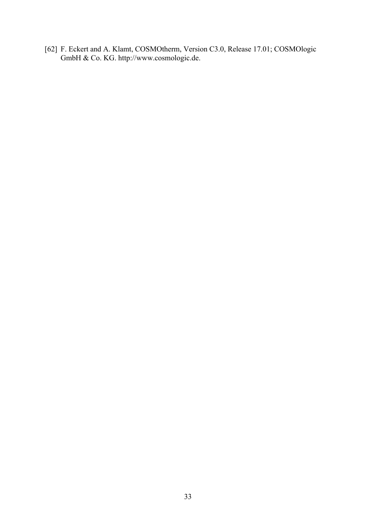[62] F. Eckert and A. Klamt, COSMOtherm, Version C3.0, Release 17.01; COSMOlogic GmbH & Co. KG. http://www.cosmologic.de.